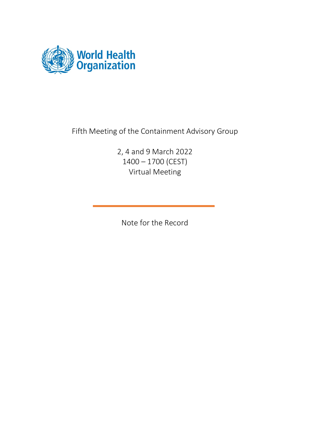

# Fifth Meeting of the Containment Advisory Group

2, 4 and 9 March 2022 1400 – 1700 (CEST) Virtual Meeting

Note for the Record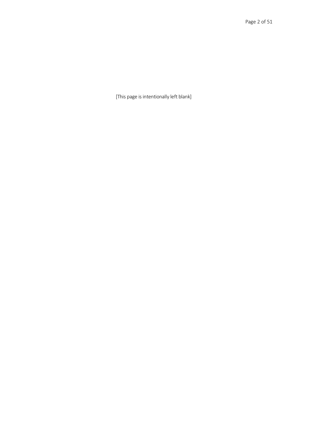[This page is intentionally left blank]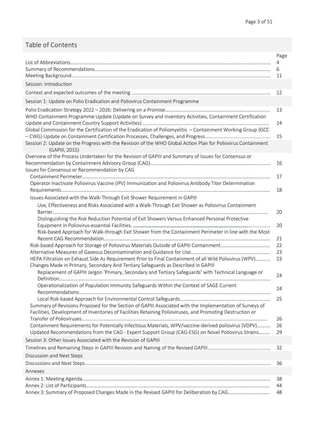# Table of Contents

|                                                                                                                                | Page           |
|--------------------------------------------------------------------------------------------------------------------------------|----------------|
|                                                                                                                                | $\overline{4}$ |
|                                                                                                                                | 6              |
|                                                                                                                                | 11             |
| Session: Introduction                                                                                                          |                |
|                                                                                                                                | 12             |
| Session 1: Update on Polio Eradication and Poliovirus Containment Programme                                                    |                |
|                                                                                                                                | 13             |
| WHO Containment Programme Update (Update on Survey and Inventory Activities, Containment Certification                         | 14             |
| Global Commission for the Certification of the Eradication of Poliomyelitis - Containment Working Group (GCC                   |                |
|                                                                                                                                | 15             |
| Session 2: Update on the Progress with the Revision of the WHO Global Action Plan for Poliovirus Containment<br>(GAPIII, 2015) |                |
| Overview of the Process Undertaken for the Revision of GAPIII and Summary of Issues for Consensus or                           |                |
| Issues for Consensus or Recommendation by CAG                                                                                  | 16             |
|                                                                                                                                | 17             |
| Operator Inactivate Poliovirus Vaccine (IPV) Immunization and Poliovirus Antibody Titer Determination                          | 18             |
| Issues Associated with the Walk-Through Exit Shower Requirement in GAPIII                                                      |                |
| Use, Effectiveness and Risks Associated with a Walk-Through Exit Shower as Poliovirus Containment                              | 20             |
| Distinguishing the Risk Reduction Potential of Exit Showers Versus Enhanced Personal Protective                                | 20             |
| Risk-based Approach for Walk-through Exit Shower from the Containment Perimeter in line with the Most                          |                |
|                                                                                                                                | 21             |
|                                                                                                                                | 22             |
|                                                                                                                                | 23             |
| HEPA Filtration on Exhaust Side As Requirement Prior to Final Containment of all Wild Poliovirus (WPV)                         | 23             |
| Changes Made in Primary, Secondary And Tertiary Safeguards as Described in GAPIII                                              |                |
| Replacement of GAPIII Jargon 'Primary, Secondary and Tertiary Safeguards' with Technical Language or                           | 24             |
| Operationalization of Population Immunity Safeguards Within the Context of SAGE Current                                        | 24             |
|                                                                                                                                | 25             |
| Summary of Revisions Proposed for the Section of GAPIII Associated with the Implementation of Surveys of                       |                |
| Facilities, Development of Inventories of Facilities Retaining Polioviruses, and Promoting Destruction or                      | 26             |
| Containment Requirements for Potentially Infectious Materials, WPV/vaccine-derived poliovirus (VDPV)                           | 26             |
| Updated Recommendations from the CAG - Expert Support Group (CAG-ESG) on Novel Poliovirus Strains                              | 29             |
| Session 3: Other Issues Associated with the Revision of GAPIII                                                                 |                |
|                                                                                                                                | 32             |
| Discussion and Next Steps                                                                                                      |                |
|                                                                                                                                | 36             |
| Annexes                                                                                                                        |                |
|                                                                                                                                | 38             |
|                                                                                                                                | 44             |
|                                                                                                                                | 48             |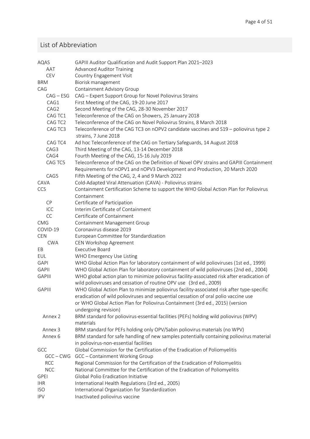# List of Abbreviation

| AQAS<br>AAT      | GAPIII Auditor Qualification and Audit Support Plan 2021-2023<br><b>Advanced Auditor Training</b>                                                                 |
|------------------|-------------------------------------------------------------------------------------------------------------------------------------------------------------------|
| <b>CEV</b>       |                                                                                                                                                                   |
|                  | Country Engagement Visit                                                                                                                                          |
| <b>BRM</b>       | Biorisk management                                                                                                                                                |
| CAG              | Containment Advisory Group                                                                                                                                        |
| $CAG - ESG$      | CAG - Expert Support Group for Novel Poliovirus Strains                                                                                                           |
| CAG1             | First Meeting of the CAG, 19-20 June 2017                                                                                                                         |
| CAG <sub>2</sub> | Second Meeting of the CAG, 28-30 November 2017                                                                                                                    |
| CAG TC1          | Teleconference of the CAG on Showers, 25 January 2018                                                                                                             |
| CAG TC2          | Teleconference of the CAG on Novel Poliovirus Strains, 8 March 2018                                                                                               |
| CAG TC3          | Teleconference of the CAG TC3 on nOPV2 candidate vaccines and S19 - poliovirus type 2                                                                             |
|                  | strains, 7 June 2018                                                                                                                                              |
| CAG TC4          | Ad hoc Teleconference of the CAG on Tertiary Safeguards, 14 August 2018                                                                                           |
| CAG3             | Third Meeting of the CAG, 13-14 December 2018                                                                                                                     |
| CAG4             | Fourth Meeting of the CAG, 15-16 July 2019                                                                                                                        |
| CAG TC5          | Teleconference of the CAG on the Definition of Novel OPV strains and GAPIII Containment                                                                           |
|                  | Requirements for nOPV1 and nOPV3 Development and Production, 20 March 2020                                                                                        |
| CAG5             | Fifth Meeting of the CAG, 2, 4 and 9 March 2022                                                                                                                   |
| CAVA             | Cold-Adapted Viral Attenuation (CAVA) - Poliovirus strains                                                                                                        |
| CCS              | Containment Certification Scheme to support the WHO Global Action Plan for Poliovirus                                                                             |
|                  | Containment                                                                                                                                                       |
| <b>CP</b>        | Certificate of Participation                                                                                                                                      |
| ICC              | Interim Certificate of Containment                                                                                                                                |
| <b>CC</b>        | Certificate of Containment                                                                                                                                        |
| <b>CMG</b>       | <b>Containment Management Group</b>                                                                                                                               |
| COVID-19         | Coronavirus disease 2019                                                                                                                                          |
| <b>CEN</b>       | European Committee for Standardization                                                                                                                            |
| <b>CWA</b>       | CEN Workshop Agreement                                                                                                                                            |
| EB               | <b>Executive Board</b>                                                                                                                                            |
| EUL              | WHO Emergency Use Listing                                                                                                                                         |
| <b>GAPI</b>      | WHO Global Action Plan for laboratory containment of wild polioviruses (1st ed., 1999)                                                                            |
| <b>GAPII</b>     | WHO Global Action Plan for laboratory containment of wild polioviruses (2nd ed., 2004)                                                                            |
| <b>GAPIII</b>    | WHO global action plan to minimize poliovirus facility-associated risk after eradication of<br>wild polioviruses and cessation of routine OPV use (3rd ed., 2009) |
| <b>GAPIII</b>    | WHO Global Action Plan to minimize poliovirus facility-associated risk after type-specific                                                                        |
|                  | eradication of wild polioviruses and sequential cessation of oral polio vaccine use                                                                               |
|                  | or WHO Global Action Plan for Poliovirus Containment (3rd ed., 2015) (version                                                                                     |
|                  | undergoing revision)                                                                                                                                              |
| Annex 2          | BRM standard for poliovirus-essential facilities (PEFs) holding wild poliovirus (WPV)                                                                             |
|                  | materials                                                                                                                                                         |
| Annex 3          | BRM standard for PEFs holding only OPV/Sabin poliovirus materials (no WPV)                                                                                        |
| Annex 6          | BRM standard for safe handling of new samples potentially containing poliovirus material                                                                          |
|                  | in poliovirus-non-essential facilities                                                                                                                            |
| GCC              | Global Commission for the Certification of the Eradication of Poliomyelitis                                                                                       |
| $GCC - CWG$      | GCC - Containment Working Group                                                                                                                                   |
| <b>RCC</b>       | Regional Commission for the Certification of the Eradication of Poliomyelitis                                                                                     |
| <b>NCC</b>       | National Committee for the Certification of the Eradication of Poliomyelitis                                                                                      |
| <b>GPEI</b>      | Global Polio Eradication Initiative                                                                                                                               |
| <b>IHR</b>       | International Health Regulations (3rd ed., 2005)                                                                                                                  |
| <b>ISO</b>       | International Organization for Standardization                                                                                                                    |
| <b>IPV</b>       | Inactivated poliovirus vaccine                                                                                                                                    |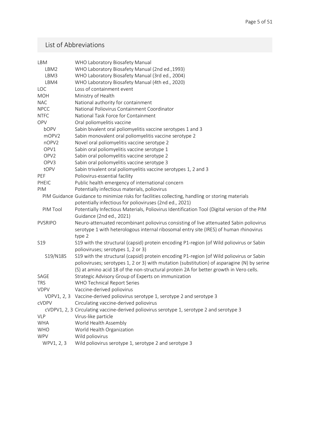# List of Abbreviations

| LBM              | WHO Laboratory Biosafety Manual                                                                  |
|------------------|--------------------------------------------------------------------------------------------------|
| LBM2             | WHO Laboratory Biosafety Manual (2nd ed., 1993)                                                  |
| LBM3             | WHO Laboratory Biosafety Manual (3rd ed., 2004)                                                  |
| LBM4             | WHO Laboratory Biosafety Manual (4th ed., 2020)                                                  |
| <b>LOC</b>       | Loss of containment event                                                                        |
| <b>MOH</b>       | Ministry of Health                                                                               |
| <b>NAC</b>       | National authority for containment                                                               |
| <b>NPCC</b>      | National Poliovirus Containment Coordinator                                                      |
| <b>NTFC</b>      | National Task Force for Containment                                                              |
| OPV              | Oral poliomyelitis vaccine                                                                       |
| bOPV             | Sabin bivalent oral poliomyelitis vaccine serotypes 1 and 3                                      |
| mOPV2            | Sabin monovalent oral poliomyelitis vaccine serotype 2                                           |
| nOPV2            | Novel oral poliomyelitis vaccine serotype 2                                                      |
| OPV1             | Sabin oral poliomyelitis vaccine serotype 1                                                      |
| OPV <sub>2</sub> | Sabin oral poliomyelitis vaccine serotype 2                                                      |
| OPV3             | Sabin oral poliomyelitis vaccine serotype 3                                                      |
| tOPV             | Sabin trivalent oral poliomyelitis vaccine serotypes 1, 2 and 3                                  |
| PEF              | Poliovirus-essential facility                                                                    |
| PHEIC            | Public health emergency of international concern                                                 |
| <b>PIM</b>       | Potentially infectious materials, poliovirus                                                     |
|                  | PIM Guidance Guidance to minimize risks for facilities collecting, handling or storing materials |
|                  | potentially infectious for polioviruses (2nd ed., 2021)                                          |
| PIM Tool         | Potentially Infectious Materials, Poliovirus Identification Tool (Digital version of the PIM     |
|                  | Guidance (2nd ed., 2021)                                                                         |
| <b>PVSRIPO</b>   | Neuro-attenuated recombinant poliovirus consisting of live attenuated Sabin poliovirus           |
|                  | serotype 1 with heterologous internal ribosomal entry site (IRES) of human rhinovirus            |
|                  | type 2                                                                                           |
| <b>S19</b>       | S19 with the structural (capsid) protein encoding P1-region (of Wild poliovirus or Sabin         |
|                  | polioviruses; serotypes 1, 2 or 3)                                                               |
| S19/N18S         | S19 with the structural (capsid) protein encoding P1-region (of Wild poliovirus or Sabin         |
|                  | polioviruses; serotypes 1, 2 or 3) with mutation (substitution) of asparagine (N) by serine      |
|                  | (S) at amino acid 18 of the non-structural protein 2A for better growth in Vero cells.           |
| SAGE             | Strategic Advisory Group of Experts on immunization                                              |
| <b>TRS</b>       | WHO Technical Report Series                                                                      |
| <b>VDPV</b>      | Vaccine-derived poliovirus                                                                       |
|                  | VDPV1, 2, 3 Vaccine-derived poliovirus serotype 1, serotype 2 and serotype 3                     |
| cVDPV            | Circulating vaccine-derived poliovirus                                                           |
|                  | cVDPV1, 2, 3 Circulating vaccine-derived poliovirus serotype 1, serotype 2 and serotype 3        |
| <b>VLP</b>       | Virus-like particle                                                                              |
| WHA              | World Health Assembly                                                                            |
| <b>WHO</b>       | World Health Organization                                                                        |
| <b>WPV</b>       | Wild poliovirus                                                                                  |
| WPV1, 2, 3       | Wild poliovirus serotype 1, serotype 2 and serotype 3                                            |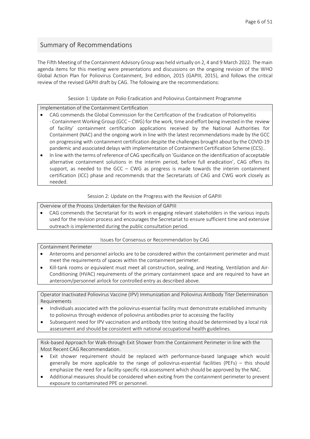# Summary of Recommendations

The Fifth Meeting of the Containment Advisory Group was held virtually on 2, 4 and 9 March 2022. The main agenda items for this meeting were presentations and discussions on the ongoing revision of the WHO Global Action Plan for Poliovirus Containment, 3rd edition, 2015 (GAPIII, 2015), and follows the critical review of the revised GAPIII draft by CAG. The following are the recommendations:

# Session 1: Update on Polio Eradication and Poliovirus Containment Programme

Implementation of the Containment Certification

- CAG commends the Global Commission for the Certification of the Eradication of Poliomyelitis - Containment Working Group (GCC – CWG) for the work, time and effort being invested in the review of facility' containment certification applications received by the National Authorities for Containment (NAC) and the ongoing work in line with the latest recommendations made by the GCC on progressing with containment certification despite the challenges brought about by the COVID-19 pandemic and associated delays with implementation of Containment Certification Scheme (CCS)..
- In line with the terms of reference of CAG specifically on 'Guidance on the identification of acceptable alternative containment solutions in the interim period, before full eradication', CAG offers its support, as needed to the  $GCC - CWG$  as progress is made towards the interim containment certification (ICC) phase and recommends that the Secretariats of CAG and CWG work closely as needed.

# Session 2: Update on the Progress with the Revision of GAPIII

Overview of the Process Undertaken for the Revision of GAPIII

• CAG commends the Secretariat for its work in engaging relevant stakeholders in the various inputs used for the revision process and encourages the Secretariat to ensure sufficient time and extensive outreach is implemented during the public consultation period.

# Issues for Consensus or Recommendation by CAG

Containment Perimeter

- Anterooms and personnel airlocks are to be considered within the containment perimeter and must meet the requirements of spaces within the containment perimeter.
- Kill-tank rooms or equivalent must meet all construction, sealing, and Heating, Ventilation and Air-Conditioning (HVAC) requirements of the primary containment space and are required to have an anteroom/personnel airlock for controlled entry as described above.

Operator Inactivated Poliovirus Vaccine (IPV) Immunization and Poliovirus Antibody Titer Determination Requirements

- Individuals associated with the poliovirus-essential facility must demonstrate established immunity to poliovirus through evidence of poliovirus antibodies prior to accessing the facility
- Subsequent need for IPV vaccination and antibody titre testing should be determined by a local risk assessment and should be consistent with national occupational health guidelines.

Risk-based Approach for Walk-through Exit Shower from the Containment Perimeter in line with the Most Recent CAG Recommendation.

- Exit shower requirement should be replaced with performance-based language which would generally be more applicable to the range of poliovirus-essential facilities (PEFs) – this should emphasize the need for a facility-specific risk assessment which should be approved by the NAC.
- Additional measures should be considered when exiting from the containment perimeter to prevent exposure to contaminated PPE or personnel.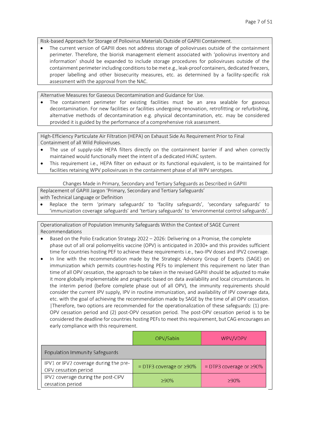Risk-based Approach for Storage of Poliovirus Materials Outside of GAPIII Containment.

• The current version of GAPIII does not address storage of polioviruses outside of the containment perimeter. Therefore, the biorisk management element associated with 'poliovirus inventory and information' should be expanded to include storage procedures for polioviruses outside of the containment perimeter including conditions to be met e.g., leak-proof containers, dedicated freezers, proper labelling and other biosecurity measures, etc. as determined by a facility-specific risk assessment with the approval from the NAC.

Alternative Measures for Gaseous Decontamination and Guidance for Use.

The containment perimeter for existing facilities must be an area sealable for gaseous decontamination. For new facilities or facilities undergoing renovation, retrofitting or refurbishing, alternative methods of decontamination e.g. physical decontamination, etc. may be considered provided it is guided by the performance of a comprehensive risk assessment.

High-Efficiency Particulate Air Filtration (HEPA) on Exhaust Side As Requirement Prior to Final Containment of all Wild Polioviruses.

- The use of supply-side HEPA filters directly on the containment barrier if and when correctly maintained would functionally meet the intent of a dedicated HVAC system.
- This requirement i.e., HEPA filter on exhaust or its functional equivalent, is to be maintained for facilities retaining WPV polioviruses in the containment phase of all WPV serotypes.

Changes Made in Primary, Secondary and Tertiary Safeguards as Described in GAPIII

Replacement of GAPIII Jargon 'Primary, Secondary and Tertiary Safeguards' with Technical Language or Definition

• Replace the term 'primary safeguards' to 'facility safeguards', 'secondary safeguards' to 'immunization coverage safeguards' and 'tertiary safeguards' to 'environmental control safeguards'.

Operationalization of Population Immunity Safeguards Within the Context of SAGE Current Recommendations

- Based on the Polio Eradication Strategy 2022 2026: Delivering on a Promise, the complete phase out of all oral poliomyelitis vaccine (OPV) is anticipated in 2030+ and this provides sufficient time for countries hosting PEF to achieve these requirements i.e., two-IPV doses and IPV2 coverage.
- In line with the recommendation made by the Strategic Advisory Group of Experts (SAGE) on immunization which permits countries-hosting PEFs to implement this requirement no later than time of all OPV cessation, the approach to be taken in the revised GAPIII should be adjusted to make it more globally implementable and pragmatic based on data availability and local circumstances. In the interim period (before complete phase out of all OPV), the immunity requirements should consider the current IPV supply, IPV in routine immunization, and availability of IPV coverage data, etc. with the goal of achieving the recommendation made by SAGE by the time of all OPV cessation. |Therefore, two options are recommended for the operationalization of these safeguards: (1) pre-OPV cessation period and (2) post-OPV cessation period. The post-OPV cessation period is to be considered the deadline for countries hosting PEFs to meet this requirement, but CAG encourages an early compliance with this requirement.

|                                                               | OPV/Sabin                     | WPV/VDPV                      |
|---------------------------------------------------------------|-------------------------------|-------------------------------|
| Population Immunity Safeguards                                |                               |                               |
| IPV1 or IPV2 coverage during the pre-<br>OPV cessation period | = DTP3 coverage or $\geq$ 90% | = DTP3 coverage or $\geq$ 90% |
| IPV2 coverage during the post-OPV<br>cessation period         | $>90\%$                       | $>90\%$                       |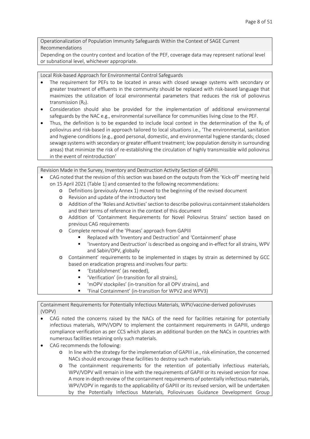Operationalization of Population Immunity Safeguards Within the Context of SAGE Current Recommendations

Depending on the country context and location of the PEF, coverage data may represent national level or subnational level, whichever appropriate.

Local Risk-based Approach for Environmental Control Safeguards

- The requirement for PEFs to be located in areas with closed sewage systems with secondary or greater treatment of effluents in the community should be replaced with risk-based language that maximizes the utilization of local environmental parameters that reduces the risk of poliovirus transmission  $(R<sub>0</sub>)$ .
- Consideration should also be provided for the implementation of additional environmental safeguards by the NAC e.g., environmental surveillance for communities living close to the PEF.
- Thus, the definition is to be expanded to include local context in the determination of the  $R_0$  of poliovirus and risk-based in approach tailored to local situations i.e., 'The environmental, sanitation and hygiene conditions (e.g., good personal, domestic, and environmental hygiene standards; closed sewage systems with secondary or greater effluent treatment; low population density in surrounding areas) that minimize the risk of re-establishing the circulation of highly transmissible wild poliovirus in the event of reintroduction'

Revision Made in the Survey, Inventory and Destruction Activity Section of GAPIII.

- CAG noted that the revision of this section was based on the outputs from the 'Kick-off' meeting held on 15 April 2021 (Table 1) and consented to the following recommendations:
	- o Definitions (previously Annex 1) moved to the beginning of the revised document
	- o Revision and update of the introductory text
	- o Addition of the 'Roles and Activities' section to describe poliovirus containment stakeholders and their terms of reference in the context of this document
	- o Addition of 'Containment Requirements for Novel Poliovirus Strains' section based on previous CAG requirements
	- o Complete removal of the 'Phases' approach from GAPIII
		- Replaced with 'Inventory and Destruction' and 'Containment' phase
		- 'Inventory and Destruction' is described as ongoing and in-effect for all strains, WPV and Sabin/OPV, globally
	- o Containment' requirements to be implemented in stages by strain as determined by GCC based on eradication progress and involves four parts:
		- 'Establishment' (as needed),
		- 'Verification' (in-transition for all strains),
		- 'mOPV stockpiles' (in-transition for all OPV strains), and
		- 'Final Containment' (in-transition for WPV2 and WPV3)

Containment Requirements for Potentially Infectious Materials, WPV/vaccine-derived polioviruses (VDPV)

- CAG noted the concerns raised by the NACs of the need for facilities retaining for potentially infectious materials, WPV/VDPV to implement the containment requirements in GAPIII, undergo compliance verification as per CCS which places an additional burden on the NACs in countries with numerous facilities retaining only such materials.
- CAG recommends the following:
	- o In line with the strategy for the implementation of GAPIII i.e., risk elimination, the concerned NACs should encourage these facilities to destroy such materials.
	- o The containment requirements for the retention of potentially infectious materials, WPV/VDPV will remain in line with the requirements of GAPIII or its revised version for now. A more in-depth review of the containment requirements of potentially infectious materials, WPV/VDPV in regards to the applicability of GAPIII or its revised version, will be undertaken by the Potentially Infectious Materials, Polioviruses Guidance Development Group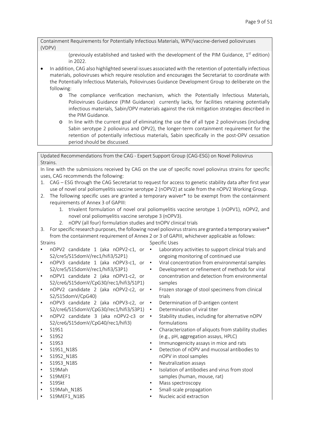Containment Requirements for Potentially Infectious Materials, WPV/vaccine-derived polioviruses (VDPV)

> (previously established and tasked with the development of the PIM Guidance,  $1<sup>st</sup>$  edition) in 2022.

- In addition, CAG also highlighted several issues associated with the retention of potentially infectious materials, polioviruses which require resolution and encourages the Secretariat to coordinate with the Potentially Infectious Materials, Polioviruses Guidance Development Group to deliberate on the following:
	- o The compliance verification mechanism, which the Potentially Infectious Materials, Polioviruses Guidance (PIM Guidance) currently lacks, for facilities retaining potentially infectious materials, Sabin/OPV materials against the risk mitigation strategies described in the PIM Guidance.
	- o In line with the current goal of eliminating the use the of all type 2 polioviruses (including Sabin serotype 2 poliovirus and OPV2), the longer-term containment requirement for the retention of potentially infectious materials, Sabin specifically in the post-OPV cessation period should be discussed.

Updated Recommendations from the CAG - Expert Support Group (CAG-ESG) on Novel Poliovirus Strains.

In line with the submissions received by CAG on the use of specific novel poliovirus strains for specific uses, CAG recommends the following:

- 1. CAG ESG through the CAG Secretariat to request for access to genetic stability data after first year use of novel oral poliomyelitis vaccine serotype 2 (nOPV2) at scale from the nOPV2 Working Group.
- 2. The following specific uses are granted a temporary waiver\* to be exempt from the containment requirements of Annex 3 of GAPIII:
	- 1. trivalent formulation of novel oral poliomyelitis vaccine serotype 1 (nOPV1), nOPV2, and novel oral poliomyelitis vaccine serotype 3 (nOPV3).
	- 2. nOPV (all four) formulation studies and tnOPV clinical trials

3. For specific research purposes, the following novel poliovirus strains are granted a temporary waiver\* from the containment requirement of Annex 2 or 3 of GAPIII, whichever applicable as follows: Strains **Specific Uses** 

- nOPV2 candidate 1 (aka nOPV2-c1, or S2/cre5/S15domV/rec1/hifi3/S2P1)
- nOPV3 candidate 1 (aka nOPV3-c1, or S2/cre5/S15domV/rec1/hifi3/S3P1)
- nOPV1 candidate 2 (aka nOPV1-c2, or S2/cre6/S15domV/CpG30/rec1/hifi3/S1P1)
- nOPV2 candidate 2 (aka nOPV2-c2, or S2/S15domV/CpG40)
- nOPV3 candidate 2 (aka nOPV3-c2, or S2/cre6/S15domV/CpG30/rec1/hifi3/S3P1)
- nOPV2 candidate 3 (aka nOPV2-c3 or S2/cre6/S15domV/CpG40/rec1/hifi3)
- S19S1
- S19S2
- S19S3
- S19S1\_N18S
- S19S2\_N18S
- S19S3\_N18S
- S19Mah
- S19MEF1
- S19Skt
- S19Mah\_N18S
- S19MEF1\_N18S

- Laboratory activities to support clinical trials and ongoing monitoring of continued use
- Viral concentration from environmental samples
- Development or refinement of methods for viral concentration and detection from environmental samples
- Frozen storage of stool specimens from clinical trials
- Determination of D-antigen content
- Determination of viral titer
- Stability studies, including for alternative nOPV formulations
- Characterization of aliquots from stability studies (e.g., pH, aggregation assays, HPLC)
- Immunogenicity assays in mice and rats
- Detection of nOPV and mucosal antibodies to nOPV in stool samples
- Neutralization assays
- Isolation of antibodies and virus from stool samples (human, mouse, rat)
- Mass spectroscopy
- Small-scale propagation
- Nucleic acid extraction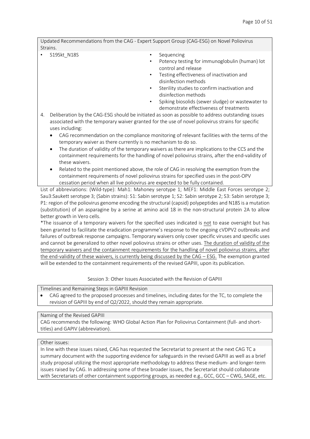| Updated Recommendations from the CAG - Expert Support Group (CAG-ESG) on Novel Poliovirus |  |
|-------------------------------------------------------------------------------------------|--|
| Strains.                                                                                  |  |

- 
- S19Skt\_N18S Sequencing
	- Potency testing for immunoglobulin (human) lot control and release
	- Testing effectiveness of inactivation and disinfection methods
	- Sterility studies to confirm inactivation and disinfection methods
	- Spiking biosolids (sewer sludge) or wastewater to demonstrate effectiveness of treatments
- 4. Deliberation by the CAG-ESG should be initiated as soon as possible to address outstanding issues associated with the temporary waiver granted for the use of novel poliovirus strains for specific uses including:
	- CAG recommendation on the compliance monitoring of relevant facilities with the terms of the temporary waiver as there currently is no mechanism to do so.
	- The duration of validity of the temporary waivers as there are implications to the CCS and the containment requirements for the handling of novel poliovirus strains, after the end-validity of these waivers.
	- Related to the point mentioned above, the role of CAG in resolving the exemption from the containment requirements of novel poliovirus strains for specified uses in the post-OPV cessation period when all live poliovirus are expected to be fully contained.

List of abbreviations: (Wild-type): Mah1: Mahoney serotype 1; MEF1: Middle East Forces serotype 2; Sau3:Saukett serotype 3; (Sabin strains): S1: Sabin serotype 1; S2: Sabin serotype 2; S3: Sabin serotype 3; P1: region of the poliovirus genome encoding the structural (capsid) polypeptides and N18S is a mutation (substitution) of an asparagine by a serine at amino acid 18 in the non-structural protein 2A to allow better growth in Vero cells.

\*The issuance of a temporary waivers for the specified uses indicated is not to ease oversight but has been granted to facilitate the eradication programme's response to the ongoing cVDPV2 outbreaks and failures of outbreak response campaigns. Temporary waivers only cover specific viruses and specific uses and cannot be generalized to other novel poliovirus strains or other uses. The duration of validity of the temporary waivers and the containment requirements for the handling of novel poliovirus strains, after the end-validity of these waivers, is currently being discussed by the CAG – ESG. The exemption granted will be extended to the containment requirements of the revised GAPIII, upon its publication.

# Session 3: Other Issues Associated with the Revision of GAPIII

Timelines and Remaining Steps in GAPIII Revision

• CAG agreed to the proposed processes and timelines, including dates for the TC, to complete the revision of GAPIII by end of Q2/2022, should they remain appropriate.

## Naming of the Revised GAPIII

CAG recommends the following: WHO Global Action Plan for Poliovirus Containment (full- and shorttitles) and GAPIV (abbreviation).

## Other issues:

In line with these issues raised, CAG has requested the Secretariat to present at the next CAG TC a summary document with the supporting evidence for safeguards in the revised GAPIII as well as a brief study proposal utilizing the most appropriate methodology to address these medium- and longer-term issues raised by CAG. In addressing some of these broader issues, the Secretariat should collaborate with Secretariats of other containment supporting groups, as needed e.g., GCC, GCC – CWG, SAGE, etc.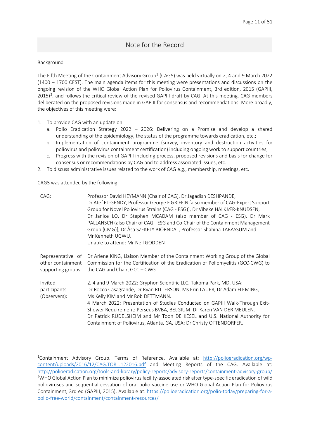# Note for the Record

### Background

The Fifth Meeting of the Containment Advisory Group<sup>1</sup> (CAG5) was held virtually on 2, 4 and 9 March 2022 (1400 – 1700 CEST). The main agenda items for this meeting were presentations and discussions on the ongoing revision of the WHO Global Action Plan for Poliovirus Containment, 3rd edition, 2015 (GAPIII,  $2015$  $2015$ <sup>2</sup>, and follows the critical review of the revised GAPIII draft by CAG. At this meeting, CAG members deliberated on the proposed revisions made in GAPIII for consensus and recommendations. More broadly, the objectives of this meeting were:

- 1. To provide CAG with an update on:
	- a. Polio Eradication Strategy 2022 2026: Delivering on a Promise and develop a shared understanding of the epidemiology, the status of the programme towards eradication, etc.;
	- b. Implementation of containment programme (survey, inventory and destruction activities for poliovirus and poliovirus containment certification) including ongoing work to support countries;
	- c. Progress with the revision of GAPIII including process, proposed revisions and basis for change for consensus or recommendations by CAG and to address associated issues, etc.
- 2. To discuss administrative issues related to the work of CAG e.g., membership, meetings, etc.

CAG5 was attended by the following:

| CAG:                                                         | Professor David HEYMANN (Chair of CAG), Dr Jagadish DESHPANDE,<br>Dr Atef EL-GENDY, Professor George E GRIFFIN [also member of CAG-Expert Support<br>Group for Novel Poliovirus Strains (CAG - ESG)], Dr Vibeke HALKJÆR-KNUDSEN,<br>Dr Janice LO, Dr Stephen MCADAM (also member of CAG - ESG), Dr Mark<br>PALLANSCH (also Chair of CAG - ESG and Co-Chair of the Containment Management<br>Group (CMG)], Dr Åsa SZEKELY BJÖRNDAL, Professor Shahina TABASSUM and<br>Mr Kenneth UGWU.<br>Unable to attend: Mr Neil GODDEN |
|--------------------------------------------------------------|---------------------------------------------------------------------------------------------------------------------------------------------------------------------------------------------------------------------------------------------------------------------------------------------------------------------------------------------------------------------------------------------------------------------------------------------------------------------------------------------------------------------------|
| Representative of<br>other containment<br>supporting groups: | Dr Arlene KING, Liaison Member of the Containment Working Group of the Global<br>Commission for the Certification of the Eradication of Poliomyelitis (GCC-CWG) to<br>the CAG and Chair, GCC - CWG                                                                                                                                                                                                                                                                                                                        |
| Invited<br>participants<br>(Observers):                      | 2, 4 and 9 March 2022: Gryphon Scientific LLC, Takoma Park, MD, USA:<br>Dr Rocco Casagrande, Dr Ryan RITTERSON, Ms Erin LAUER, Dr Adam FLEMING,<br>Ms Kelly KIM and Mr Rob DETTMANN.<br>4 March 2022: Presentation of Studies Conducted on GAPIII Walk-Through Exit-<br>Shower Requirement: Perseus BVBA, BELGIUM: Dr Karen VAN DER MEULEN,<br>Dr Patrick RÜDELSHEIM and Mr Toon DE KESEL and U.S. National Authority for<br>Containment of Poliovirus, Atlanta, GA, USA: Dr Christy OTTENDORFER.                         |

<span id="page-10-1"></span><span id="page-10-0"></span><sup>&</sup>lt;sup>1</sup>Containment Advisory Group. Terms of Reference. Available at: [http://polioeradication.org/wp](http://polioeradication.org/wp-content/uploads/2016/12/CAG.TOR_.122016.pdf)[content/uploads/2016/12/CAG.TOR\\_.122016.pdf](http://polioeradication.org/wp-content/uploads/2016/12/CAG.TOR_.122016.pdf) and Meeting Reports of the CAG. Available at: <http://polioeradication.org/tools-and-library/policy-reports/advisory-reports/containment-advisory-group/> 2WHO Global Action Plan to minimize poliovirus facility-associated risk after type-specific eradication of wild polioviruses and sequential cessation of oral polio vaccine use or WHO Global Action Plan for Poliovirus Containment, 3rd ed (GAPIII, 2015). Available at: [https://polioeradication.org/polio-today/preparing-for-a](https://polioeradication.org/polio-today/preparing-for-a-polio-free-world/containment/containment-resources/)[polio-free-world/containment/containment-resources/](https://polioeradication.org/polio-today/preparing-for-a-polio-free-world/containment/containment-resources/)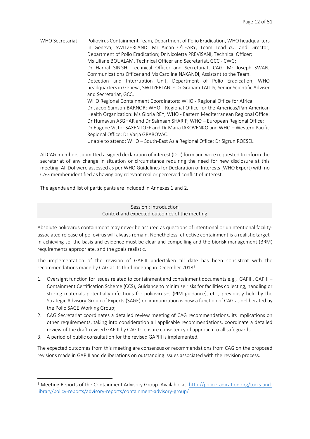WHO Secretariat Poliovirus Containment Team, Department of Polio Eradication, WHO headquarters in Geneva, SWITZERLAND: Mr Aidan O'LEARY, Team Lead *a.i*. and Director, Department of Polio Eradication; Dr Nicoletta PREVISANI, Technical Officer; Ms Liliane BOUALAM, Technical Officer and Secretariat, GCC - CWG; Dr Harpal SINGH, Technical Officer and Secretariat, CAG; Mr Joseph SWAN, Communications Officer and Ms Caroline NAKANDI, Assistant to the Team. Detection and Interruption Unit, Department of Polio Eradication, WHO headquarters in Geneva, SWITZERLAND: Dr Graham TALLIS, Senior Scientific Adviser and Secretariat, GCC. WHO Regional Containment Coordinators: WHO - Regional Office for Africa: Dr Jacob Samson BARNOR; WHO - Regional Office for the Americas/Pan American Health Organization: Ms Gloria REY; WHO - Eastern Mediterranean Regional Office: Dr Humayun ASGHAR and Dr Salmaan SHARIF; WHO – European Regional Office: Dr Eugene Victor SAXENTOFF and Dr Maria IAKOVENKO and WHO – Western Pacific Regional Office: Dr Varja GRABOVAC. Unable to attend: WHO – South-East Asia Regional Office: Dr Sigrun ROESEL.

All CAG members submitted a signed declaration of interest (DoI) form and were requested to inform the secretariat of any change in situation or circumstance requiring the need for new disclosure at this meeting. All DoI were assessed as per WHO Guidelines for Declaration of Interests (WHO Expert) with no CAG member identified as having any relevant real or perceived conflict of interest.

The agenda and list of participants are included in Annexes 1 and 2.

# <span id="page-11-1"></span>Session : Introduction Context and expected outcomes of the meeting

Absolute poliovirus containment may never be assured as questions of intentional or unintentional facilityassociated release of poliovirus will always remain. Nonetheless, effective containment is a realistic target in achieving so, the basis and evidence must be clear and compelling and the biorisk management (BRM) requirements appropriate, and the goals realistic.

The implementation of the revision of GAPIII undertaken till date has been consistent with the recommendations made by CAG at its third meeting in December 2018<sup>[3](#page-11-0)</sup>:

- 1. Oversight function for issues related to containment and containment documents e.g., GAPIII, GAPIII Containment Certification Scheme (CCS), Guidance to minimize risks for facilities collecting, handling or storing materials potentially infectious for polioviruses (PIM guidance), etc., previously held by the Strategic Advisory Group of Experts (SAGE) on immunization is now a function of CAG as deliberated by the Polio SAGE Working Group;
- 2. CAG Secretariat coordinates a detailed review meeting of CAG recommendations, its implications on other requirements, taking into consideration all applicable recommendations, coordinate a detailed review of the draft revised GAPIII by CAG to ensure consistency of approach to all safeguards;
- 3. A period of public consultation for the revised GAPIII is implemented.

The expected outcomes from this meeting are consensus or recommendations from CAG on the proposed revisions made in GAPIII and deliberations on outstanding issues associated with the revision process.

<span id="page-11-0"></span><sup>3</sup> Meeting Reports of the Containment Advisory Group. Available at: [http://polioeradication.org/tools-and](http://polioeradication.org/tools-and-library/policy-reports/advisory-reports/containment-advisory-group/)[library/policy-reports/advisory-reports/containment-advisory-group/](http://polioeradication.org/tools-and-library/policy-reports/advisory-reports/containment-advisory-group/)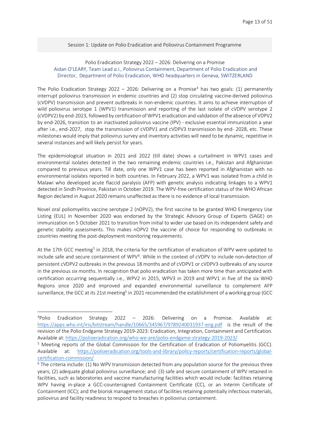#### Session 1: Update on Polio Eradication and Poliovirus Containment Programme

# Polio Eradication Strategy 2022 – 2026: Delivering on a Promise Aidan O'LEARY, Team Lead *a.i*., Poliovirus Containment, Department of Polio Eradication and Director, Department of Polio Eradication, WHO headquarters in Geneva, SWITZERLAND

The Polio Eradication Strategy 2022 – 2026: Delivering on a Promise<sup>[4](#page-12-1)</sup> has two goals: (1) permanently interrupt poliovirus transmission in endemic countries and (2) stop circulating vaccine-derived poliovirus (cVDPV) transmission and prevent outbreaks in non-endemic countries. It aims to achieve interruption of wild poliovirus serotype 1 (WPV1) transmission and reporting of the last isolate of cVDPV serotype 2 (cVDPV2) by end-2023, followed by certification of WPV1 eradication and validation of the absence of VDPV2 by end-2026, transition to an inactivated poliovirus vaccine (IPV) - exclusive essential immunization a year after i.e., end-2027, stop the transmission of cVDPV1 and cVDPV3 transmission by end- 2028, etc. These milestones would imply that poliovirus survey and inventory activities will need to be dynamic, repetitive in several instances and will likely persist for years.

The epidemiological situation in 2021 and 2022 (till date) shows a curtailment in WPV1 cases and environmental isolates detected in the two remaining endemic countries i.e., Pakistan and Afghanistan compared to previous years. Till date, only one WPV1 case has been reported in Afghanistan with no environmental isolates reported in both countries. In February 2022, a WPV1 was isolated from a child in Malawi who developed acute flaccid paralysis (AFP) with genetic analysis indicating linkages to a WPV1 detected in Sindh Province, Pakistan in October 2019. The WPV-free certification status of the WHO African Region declared in August 2020 remains unaffected as there is no evidence of local transmission.

Novel oral poliomyelitis vaccine serotype 2 (nOPV2), the first vaccine to be granted WHO Emergency Use Listing (EUL) in November 2020 was endorsed by the Strategic Advisory Group of Experts (SAGE) on immunization on 5 October 2021 to transition from initial to wider use based on its independent safety and genetic stability assessments. This makes nOPV2 the vaccine of choice for responding to outbreaks in countries meeting the post-deployment monitoring requirements.

<span id="page-12-0"></span>At the 17th GCC meeting<sup>[5](#page-12-2)</sup> in 2018, the criteria for the certification of eradication of WPV were updated to include safe and secure containment of WPV<sup>[6](#page-12-3)</sup>. While in the context of cVDPV to include non-detection of persistent cVDPV2 outbreaks in the previous 18 months and of cVDPV1 or cVDPV3 outbreaks of any source in the previous six months. In recognition that polio eradication has taken more time than anticipated with certification occurring sequentially i.e., WPV2 in 2015, WPV3 in 2019 and WPV1 in five of the six WHO Regions since 2020 and improved and expanded environmental surveillance to complement AFP surveillance, the GCC at its 21st meeting<sup>5</sup> in 2021 recommended the establishment of a working group (GCC

<span id="page-12-1"></span> $4P<sub>Olio</sub>$ Eradication Strategy 2022 – 2026: Delivering on a Promise. Available at: <https://apps.who.int/iris/bitstream/handle/10665/345967/9789240031937-eng.pdf>is the result of the revision of the Polio Endgame Strategy 2019-2023: Eradication, Integration, Containment and Certification. Available at:<https://polioeradication.org/who-we-are/polio-endgame-strategy-2019-2023/>

<span id="page-12-2"></span><sup>5</sup> Meeting reports of the Global Commission for the Certification of Eradication of Poliomyelitis (GCC). Available at: [https://polioeradication.org/tools-and-library/policy-reports/certification-reports/global](https://polioeradication.org/tools-and-library/policy-reports/certification-reports/global-certification-commission/)[certification-commission/](https://polioeradication.org/tools-and-library/policy-reports/certification-reports/global-certification-commission/)

<span id="page-12-3"></span><sup>&</sup>lt;sup>6</sup> The criteria include: (1) No WPV transmission detected from any population source for the previous three years; (2) adequate global poliovirus surveillance; and (3) safe and secure containment of WPV retained in facilities, such as laboratories and vaccine manufacturing facilities which would include: facilities retaining WPV having in-place a GCC-countersigned Containment Certificate (CC), or an Interim Certificate of Containment (ICC); and the biorisk management status of facilities retaining potentially infectious materials, poliovirus and facility readiness to respond to breaches in poliovirus containment.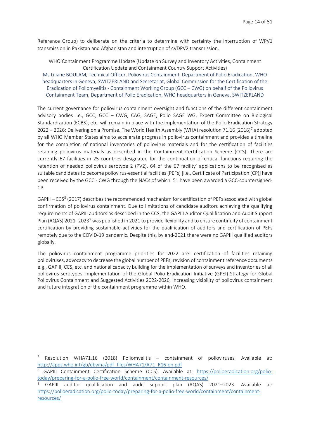Reference Group) to deliberate on the criteria to determine with certainty the interruption of WPV1 transmission in Pakistan and Afghanistan and interruption of cVDPV2 transmission.

WHO Containment Programme Update (Update on Survey and Inventory Activities, Containment Certification Update and Containment Country Support Activities) Ms Liliane BOULAM, Technical Officer, Poliovirus Containment, Department of Polio Eradication, WHO headquarters in Geneva, SWITZERLAND and Secretariat, Global Commission for the Certification of the Eradication of Poliomyelitis - Containment Working Group (GCC – CWG) on behalf of the Poliovirus Containment Team, Department of Polio Eradication, WHO headquarters in Geneva, SWITZERLAND

The current governance for poliovirus containment oversight and functions of the different containment advisory bodies i.e., GCC, GCC – CWG, CAG, SAGE, Polio SAGE WG, Expert Committee on Biological Standardization (ECBS), etc. will remain in place with the implementation of the Polio Eradication Strategy 2022 – 2026: Delivering on a Promise. The World Health Assembly (WHA) resolution 71.16 (2018)[7](#page-13-0) adopted by all WHO Member States aims to accelerate progress in poliovirus containment and provides a timeline for the completion of national inventories of poliovirus materials and for the certification of facilities retaining poliovirus materials as described in the Containment Certification Scheme (CCS). There are currently 67 facilities in 25 countries designated for the continuation of critical functions requiring the retention of needed poliovirus serotype 2 (PV2). 64 of the 67 facility' applications to be recognised as suitable candidates to become poliovirus-essential facilities (PEFs) [i.e., Certificate of Participation (CP)] have been received by the GCC - CWG through the NACs of which 51 have been awarded a GCC-countersigned-CP.

 $GAPIII - CCS<sup>8</sup>$  (2017) describes the recommended mechanism for certification of PEFs associated with global confirmation of poliovirus containment. Due to limitations of candidate auditors achieving the qualifying requirements of GAPIII auditors as described in the CCS, the GAPIII Auditor Qualification and Audit Support Plan (AQAS) 2021–2023<sup>[9](#page-13-2)</sup> was published in 2021 to provide flexibility and to ensure continuity of containment certification by providing sustainable activities for the qualification of auditors and certification of PEFs remotely due to the COVID-19 pandemic. Despite this, by end-2021 there were no GAPIII qualified auditors globally.

The poliovirus containment programme priorities for 2022 are: certification of facilities retaining polioviruses, advocacy to decrease the global number of PEFs; revision of containment reference documents e.g., GAPIII, CCS, etc. and national capacity building for the implementation of surveys and inventories of all poliovirus serotypes, implementation of the Global Polio Eradication Initiative (GPEI) Strategy for Global Poliovirus Containment and Suggested Activities 2022-2026, increasing visibility of poliovirus containment and future integration of the containment programme within WHO.

<span id="page-13-0"></span><sup>&</sup>lt;sup>7</sup> Resolution WHA71.16 (2018) Poliomyelitis – containment of polioviruses. Available at: [http://apps.who.int/gb/ebwha/pdf\\_files/WHA71/A71\\_R16-en.pdf](http://apps.who.int/gb/ebwha/pdf_files/WHA71/A71_R16-en.pdf)

<span id="page-13-1"></span><sup>8</sup> GAPIII Containment Certification Scheme (CCS). Available at: [https://polioeradication.org/polio](https://polioeradication.org/polio-today/preparing-for-a-polio-free-world/containment/containment-resources/)[today/preparing-for-a-polio-free-world/containment/containment-resources/](https://polioeradication.org/polio-today/preparing-for-a-polio-free-world/containment/containment-resources/)

<span id="page-13-2"></span>GAPIII auditor qualification and audit support plan (AQAS) 2021–2023. Available at: [https://polioeradication.org/polio-today/preparing-for-a-polio-free-world/containment/containment](https://polioeradication.org/polio-today/preparing-for-a-polio-free-world/containment/containment-resources/)[resources/](https://polioeradication.org/polio-today/preparing-for-a-polio-free-world/containment/containment-resources/)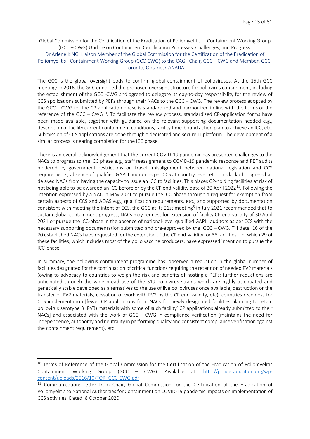Global Commission for the Certification of the Eradication of Poliomyelitis – Containment Working Group (GCC – CWG) Update on Containment Certification Processes, Challenges, and Progress. Dr Arlene KING, Liaison Member of the Global Commission for the Certification of the Eradication of

# Poliomyelitis - Containment Working Group (GCC-CWG) to the CAG, Chair, GCC – CWG and Member, GCC, Toronto, Ontario, CANADA

The GCC is the global oversight body to confirm global containment of polioviruses. At the 15th GCC meeting<sup>5</sup> in 2016, the GCC endorsed the proposed oversight structure for poliovirus containment, including the establishment of the GCC -CWG and agreed to delegate its day-to-day responsibility for the review of CCS applications submitted by PEFs through their NACs to the GCC – CWG. The review process adopted by the GCC – CWG for the CP-application phase is standardized and harmonized in line with the terms of the reference of the GCC – CWG<sup>[10](#page-14-0)</sup>. To facilitate the review process, standardized CP-application forms have been made available, together with guidance on the relevant supporting documentation needed e.g., description of facility current containment conditions, facility time-bound action plan to achieve an ICC, etc. Submission of CCS applications are done through a dedicated and secure IT platform. The development of a similar process is nearing completion for the ICC phase.

There is an overall acknowledgement that the current COVID-19 pandemic has presented challenges to the NACs to progress to the ICC phase e.g., staff reassignment to COVID-19 pandemic response and PEF audits hindered by government restrictions on travel; misalignment between national legislation and CCS requirements; absence of qualified GAPIII auditor as per CCS at country level, etc. This lack of progress has delayed NACs from having the capacity to issue an ICC to facilities. This places CP-holding facilities at risk of not being able to be awarded an ICC before or by the CP end-validity date of 30 April 2022<sup>[11](#page-14-1)</sup>. Following the intention expressed by a NAC in May 2021 to pursue the ICC phase through a request for exemption from certain aspects of CCS and AQAS e.g., qualification requirements, etc., and supported by documentation consistent with meeting the intent of CCS, the GCC at its 21st meeting<sup>5</sup> in July 2021 recommended that to sustain global containment progress, NACs may request for extension of facility CP end-validity of 30 April 2021 or pursue the ICC-phase in the absence of national-level qualified GAPIII auditors as per CCS with the necessary supporting documentation submitted and pre-approved by the GCC – CWG. Till date, 16 of the 20 established NACs have requested for the extension of the CP end-validity for 38 facilities – of which 29 of these facilities, which includes most of the polio vaccine producers, have expressed intention to pursue the ICC-phase.

In summary, the poliovirus containment programme has: observed a reduction in the global number of facilities designated for the continuation of critical functions requiring the retention of needed PV2 materials (owing to advocacy to countries to weigh the risk and benefits of hosting a PEFs; further reductions are anticipated through the widespread use of the S19 poliovirus strains which are highly attenuated and genetically stable developed as alternatives to the use of live polioviruses once available, destruction or the transfer of PV2 materials, cessation of work with PV2 by the CP end-validity, etc); countries readiness for CCS implementation [fewer CP applications from NACs for newly designated facilities planning to retain poliovirus serotype 3 (PV3) materials with some of such facility' CP applications already submitted to their NACs] and associated with the work of GCC – CWG in compliance verification (maintains the need for independence, autonomy and neutrality in performing quality and consistent compliance verification against the containment requirement), etc.

<span id="page-14-0"></span><sup>&</sup>lt;sup>10</sup> Terms of Reference of the Global Commission for the Certification of the Eradication of Poliomyelitis Containment Working Group (GCC – CWG). Available at: [http://polioeradication.org/wp](http://polioeradication.org/wp-content/uploads/2016/10/TOR_GCC-CWG.pdf)[content/uploads/2016/10/TOR\\_GCC-CWG.pdf](http://polioeradication.org/wp-content/uploads/2016/10/TOR_GCC-CWG.pdf)

<span id="page-14-1"></span><sup>&</sup>lt;sup>11</sup> Communication: Letter from Chair, Global Commission for the Certification of the Eradication of Poliomyelitis to National Authorities for Containment on COVID-19 pandemic impacts on implementation of CCS activities. Dated: 8 October 2020.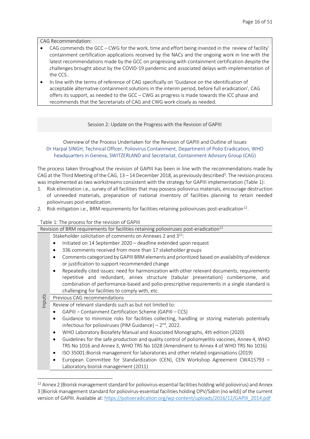CAG Recommendation:

- CAG commends the GCC CWG for the work, time and effort being invested in the review of facility' containment certification applications received by the NACs and the ongoing work in line with the latest recommendations made by the GCC on progressing with containment certification despite the challenges brought about by the COVID-19 pandemic and associated delays with implementation of the CCS..
- In line with the terms of reference of CAG specifically on 'Guidance on the identification of acceptable alternative containment solutions in the interim period, before full eradication', CAG offers its support, as needed to the GCC – CWG as progress is made towards the ICC phase and recommends that the Secretariats of CAG and CWG work closely as needed.

<span id="page-15-0"></span>Session 2: Update on the Progress with the Revision of GAPIII

Overview of the Process Undertaken for the Revision of GAPIII and Outline of Issues Dr Harpal SINGH, Technical Officer, Poliovirus Containment, Department of Polio Eradication, WHO headquarters in Geneva, SWITZERLAND and Secretariat, Containment Advisory Group (CAG)

The process taken throughout the revision of GAPIII has been in line with the recommendations made by CAG at the Third Meeting of the CAG,  $13 - 14$  December 2018, as previously described<sup>3</sup>. The revision process was implemented as two workstreams consistent with the strategy for GAPIII implementation (Table 1):

- 1. Risk elimination i.e., survey of all facilities that may possess poliovirus materials, encourage destruction of unneeded materials, preparation of national inventory of facilities planning to retain needed polioviruses post-eradication.
- 2. Risk mitigation i.e., BRM requirements for facilities retaining polioviruses post-eradication<sup>[12](#page-15-1)</sup>.

# Table 1: The process for the revision of GAPIII

Revision of BRM requirements for facilities retaining polioviruses post-eradication<sup>12</sup>

Stakeholder solicitation of comments on Annexes 2 and [312:](#page-15-0)

- Initiated on 14 September 2020 deadline extended upon request
- 336 comments received from more than 17 stakeholder groups
- Comments categorized by GAPIII BRM elements and prioritized based on availability of evidence or justification to support recommended change
- Repeatedly cited issues: need for harmonization with other relevant documents, requirements repetitive and redundant, annex structure (tabular presentation) cumbersome, and combination of performance-based and polio-prescriptive requirements in a single standard is challenging for facilities to comply with, etc.

Inputs Previous CAG recommendations

- Review of relevant standards such as but not limited to:
	- GAPIII Containment Certification Scheme (GAPIII CCS)
	- Guidance to minimize risks for facilities collecting, handling or storing materials potentially infectious for polioviruses (PIM Guidance) –  $2<sup>nd</sup>$ , 2022.
	- WHO Laboratory Biosafety Manual and Associated Monographs, 4th edition (2020)
	- Guidelines for the safe production and quality control of poliomyelitis vaccines, Annex 4, WHO TRS No 1016 and Annex 3, WHO TRS No 1028 (Amendment to Annex 4 of WHO TRS No 1016)
	- ISO 35001:Biorisk management for laboratories and other related organisations (2019)
	- European Committee for Standardization (CEN), CEN Workshop Agreement CWA15793 Laboratory biorisk management (2011)

<span id="page-15-1"></span> $12$  Annex 2 (Biorisk management standard for poliovirus-essential facilities holding wild poliovirus) and Annex 3 [Biorisk management standard for poliovirus-essential facilities holding OPV/Sabin (no wild)] of the current version of GAPIII. Available at[: https://polioeradication.org/wp-content/uploads/2016/12/GAPIII\\_2014.pdf](https://polioeradication.org/wp-content/uploads/2016/12/GAPIII_2014.pdf)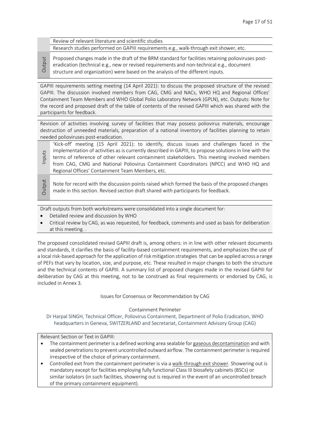Review of relevant literature and scientific studies

Research studies performed on GAPIII requirements e.g., walk-through exit shower, etc.

Proposed changes made in the draft of the BRM standard for facilities retaining polioviruses post-

- Output eradication (technical e.g., new or revised requirements and non-technical e.g., document
- structure and organization) were based on the analysis of the different inputs.

GAPIII requirements setting meeting (14 April 2021): to discuss the proposed structure of the revised GAPIII. The discussion involved members from CAG, CMG and NACs, WHO HQ and Regional Offices' Containment Team Members and WHO Global Polio Laboratory Network (GPLN), etc. Outputs: Note for the record and proposed draft of the table of contents of the revised GAPIII which was shared with the participants for feedback.

Revision of activities involving survey of facilities that may possess poliovirus materials, encourage destruction of unneeded materials, preparation of a national inventory of facilities planning to retain needed polioviruses post-eradication.

'Kick-off' meeting (15 April 2021): to identify, discuss issues and challenges faced in the implementation of activities as is currently described in GAPIII, to propose solutions in line with the terms of reference of other relevant containment stakeholders. This meeting involved members from CAG, CMG and National Poliovirus Containment Coordinators (NPCC) and WHO HQ and Regional Offices' Containment Team Members, etc.

Note for record with the discussion points raised which formed the basis of the proposed changes made in this section. Revised section draft shared with participants for feedback.

Draft outputs from both workstreams were consolidated into a single document for:

• Detailed review and discussion by WHO

Inputs

Output

• Critical review by CAG, as was requested, for feedback, comments and used as basis for deliberation at this meeting. .

The proposed consolidated revised GAPIII draft is, among others: in in line with other relevant documents and standards, it clarifies the basis of facility-based containment requirements, and emphasizes the use of a local risk-based approach for the application of risk mitigation strategies that can be applied across a range of PEFs that vary by location, size, and purpose, etc. These resulted in major changes to both the structure and the technical contents of GAPIII. A summary list of proposed changes made in the revised GAPIII for deliberation by CAG at this meeting, not to be construed as final requirements or endorsed by CAG, is included in Annex 3.

Issues for Consensus or Recommendation by CAG

#### Containment Perimeter

Dr Harpal SINGH, Technical Officer, Poliovirus Containment, Department of Polio Eradication, WHO headquarters in Geneva, SWITZERLAND and Secretariat, Containment Advisory Group (CAG)

Relevant Section or Text in GAPIII:

- The containment perimeter is a defined working area sealable for gaseous decontamination and with sealed penetrations to prevent uncontrolled outward airflow. The containment perimeter is required irrespective of the choice of primary containment.
- Controlled exit from the containment perimeter is via a walk-through exit shower. Showering out is mandatory except for facilities employing fully functional Class III biosafety cabinets (BSCs) or similar isolators (in such facilities, showering out is required in the event of an uncontrolled breach of the primary containment equipment).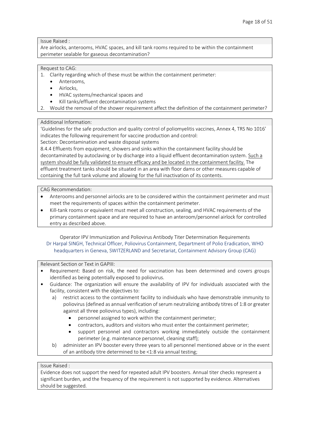# Issue Raised :

Are airlocks, anterooms, HVAC spaces, and kill tank rooms required to be within the containment perimeter sealable for gaseous decontamination?

# Request to CAG:

- 1. Clarity regarding which of these must be within the containment perimeter:
	- Anterooms,
	- Airlocks,
	- HVAC systems/mechanical spaces and
	- Kill tanks/effluent decontamination systems
- 2. Would the removal of the shower requirement affect the definition of the containment perimeter?

# Additional Information:

'Guidelines for the safe production and quality control of poliomyelitis vaccines, Annex 4, TRS No 1016' indicates the following requirement for vaccine production and control:

Section: Decontamination and waste disposal systems

8.4.4 Effluents from equipment, showers and sinks within the containment facility should be decontaminated by autoclaving or by discharge into a liquid effluent decontamination system. Such a system should be fully validated to ensure efficacy and be located in the containment facility. The effluent treatment tanks should be situated in an area with floor dams or other measures capable of containing the full tank volume and allowing for the full inactivation of its contents.

# CAG Recommendation:

- Anterooms and personnel airlocks are to be considered within the containment perimeter and must meet the requirements of spaces within the containment perimeter.
- Kill-tank rooms or equivalent must meet all construction, sealing, and HVAC requirements of the primary containment space and are required to have an anteroom/personnel airlock for controlled entry as described above.

Operator IPV Immunization and Poliovirus Antibody Titer Determination Requirements Dr Harpal SINGH, Technical Officer, Poliovirus Containment, Department of Polio Eradication, WHO headquarters in Geneva, SWITZERLAND and Secretariat, Containment Advisory Group (CAG)

Relevant Section or Text in GAPIII:

- Requirement: Based on risk, the need for vaccination has been determined and covers groups identified as being potentially exposed to poliovirus.
- Guidance: The organization will ensure the availability of IPV for individuals associated with the facility, consistent with the objectives to:
	- a) restrict access to the containment facility to individuals who have demonstrable immunity to poliovirus (defined as annual verification of serum neutralizing antibody titres of 1:8 or greater against all three poliovirus types), including:
		- personnel assigned to work within the containment perimeter;
		- contractors, auditors and visitors who must enter the containment perimeter;
		- support personnel and contractors working immediately outside the containment perimeter (e.g. maintenance personnel, cleaning staff);
	- b) administer an IPV booster every three years to all personnel mentioned above or in the event of an antibody titre determined to be <1:8 via annual testing;

# Issue Raised :

Evidence does not support the need for repeated adult IPV boosters. Annual titer checks represent a significant burden, and the frequency of the requirement is not supported by evidence. Alternatives should be suggested.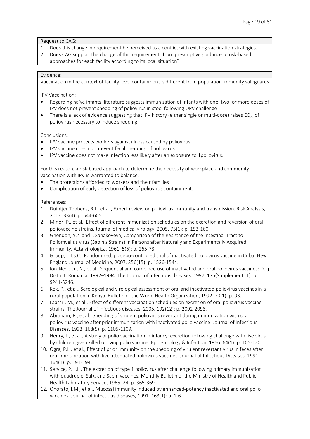Request to CAG:

- 1. Does this change in requirement be perceived as a conflict with existing vaccination strategies.
- 2. Does CAG support the change of this requirements from prescriptive guidance to risk-based approaches for each facility according to its local situation?

#### Evidence:

Vaccination in the context of facility level containment is different from population immunity safeguards

IPV Vaccination:

- Regarding naïve infants, literature suggests immunization of infants with one, two, or more doses of IPV does not prevent shedding of poliovirus in stool following OPV challenge
- There is a lack of evidence suggesting that IPV history (either single or multi-dose) raises  $EC_{50}$  of poliovirus necessary to induce shedding

Conclusions:

- IPV vaccine protects workers against illness caused by poliovirus.
- IPV vaccine does not prevent fecal shedding of poliovirus.
- IPV vaccine does not make infection less likely after an exposure to 1poliovirus.

For this reason, a risk-based approach to determine the necessity of workplace and community vaccination with IPV is warranted to balance:

- The protections afforded to workers and their families
- Complication of early detection of loss of poliovirus containment.

References:

- 1. Duintjer Tebbens, R.J., et al., Expert review on poliovirus immunity and transmission. Risk Analysis, 2013. 33(4): p. 544-605.
- 2. Minor, P., et al., Effect of different immunization schedules on the excretion and reversion of oral poliovaccine strains. Journal of medical virology, 2005. 75(1): p. 153-160.
- 3. Ghendon, Y.Z. and I. Sanakoyeva, Comparison of the Resistance of the Intestinal Tract to Poliomyelitis virus (Sabin's Strains) in Persons after Naturally and Experimentally Acquired Immunity. Acta virologica, 1961. 5(5): p. 265-73.
- 4. Group, C.I.S.C., Randomized, placebo-controlled trial of inactivated poliovirus vaccine in Cuba. New England Journal of Medicine, 2007. 356(15): p. 1536-1544.
- 5. Ion-Nedelcu, N., et al., Sequential and combined use of inactivated and oral poliovirus vaccines: Dolj District, Romania, 1992–1994. The Journal of infectious diseases, 1997. 175(Supplement\_1): p. S241-S246.
- 6. Kok, P., et al., Serological and virological assessment of oral and inactivated poliovirus vaccines in a rural population in Kenya. Bulletin of the World Health Organization, 1992. 70(1): p. 93.
- 7. Laassri, M., et al., Effect of different vaccination schedules on excretion of oral poliovirus vaccine strains. The Journal of infectious diseases, 2005. 192(12): p. 2092-2098.
- 8. Abraham, R., et al., Shedding of virulent poliovirus revertant during immunization with oral poliovirus vaccine after prior immunization with inactivated polio vaccine. Journal of Infectious Diseases, 1993. 168(5): p. 1105-1109.
- 9. Henry, J., et al., A study of polio vaccination in infancy: excretion following challenge with live virus by children given killed or living polio vaccine. Epidemiology & Infection, 1966. 64(1): p. 105-120.
- 10. Ogra, P.L., et al., Effect of prior immunity on the shedding of virulent revertant virus in feces after oral immunization with live attenuated poliovirus vaccines. Journal of Infectious Diseases, 1991. 164(1): p. 191-194.
- 11. Service, P.H.L., The excretion of type 1 poliovirus after challenge following primary immunization with quadruple, Salk, and Sabin vaccines. Monthly Bulletin of the Ministry of Health and Public Health Laboratory Service, 1965. 24: p. 365-369.
- 12. Onorato, I.M., et al., Mucosal immunity induced by enhanced-potency inactivated and oral polio vaccines. Journal of infectious diseases, 1991. 163(1): p. 1-6.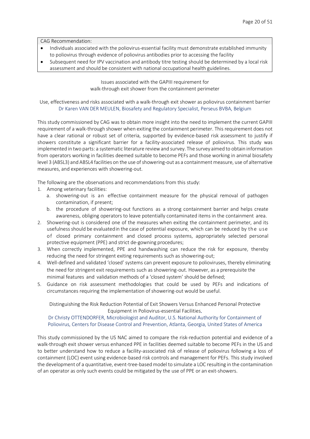CAG Recommendation:

- Individuals associated with the poliovirus-essential facility must demonstrate established immunity to poliovirus through evidence of poliovirus antibodies prior to accessing the facility
- Subsequent need for IPV vaccination and antibody titre testing should be determined by a local risk assessment and should be consistent with national occupational health guidelines.

Issues associated with the GAPIII requirement for walk-through exit shower from the containment perimeter

Use, effectiveness and risks associated with a walk-through exit shower as poliovirus containment barrier Dr Karen VAN DER MEULEN, Biosafety and Regulatory Specialist, Perseus BVBA, Belgium

This study commissioned by CAG was to obtain more insight into the need to implement the current GAPIII requirement of a walk-through shower when exiting the containment perimeter. This requirement does not have a clear rational or robust set of criteria, supported by evidence-based risk assessment to justify if showers constitute a significant barrier for a facility-associated release of poliovirus. This study was implemented in two parts: a systematic literature review and survey. The survey aimed to obtain information from operators working in facilities deemed suitable to become PEFs and those working in animal biosafety level 3 (ABSL3) and ABSL4 facilities on the use of showering-out as a containment measure, use of alternative measures, and experiences with showering-out.

The following are the observations and recommendations from this study:

- 1. Among veterinary facilities:
	- a. showering-out is an effective containment measure for the physical removal of pathogen contamination, if present;
	- b. the procedure of showering-out functions as a strong containment barrier and helps create awareness, obliging operators to leave potentially contaminated items in the containment area.
- 2. Showering-out is considered one of the measures when exiting the containment perimeter, and its usefulness should be evaluatedin the case of potential exposure, which can be reduced by the use of closed primary containment and closed process systems, appropriately selected personal protective equipment (PPE) and strict de-gowning procedures;
- 3. When correctly implemented, PPE and handwashing can reduce the risk for exposure, thereby reducing the need for stringent exiting requirements such as showering-out;
- 4. Well-defined and validated 'closed' systems can prevent exposure to polioviruses, thereby eliminating the need for stringent exit requirements such as showering-out. However, as a prerequisite the minimal features and validation methods of a 'closed system' should be defined;
- 5. Guidance on risk assessment methodologies that could be used by PEFs and indications of circumstances requiring the implementation of showering-out would be useful.

Distinguishing the Risk Reduction Potential of Exit Showers Versus Enhanced Personal Protective Equipment in Poliovirus-essential Facilities.

Dr Christy OTTENDORFER, Microbiologist and Auditor, U.S. National Authority for Containment of Poliovirus, Centers for Disease Control and Prevention, Atlanta, Georgia, United States of America

This study commissioned by the US NAC aimed to compare the risk-reduction potential and evidence of a walk-through exit shower versus enhanced PPE in facilities deemed suitable to become PEFs in the US and to better understand how to reduce a facility-associated risk of release of poliovirus following a loss of containment (LOC) event using evidence-based risk controls and management for PEFs. This study involved the development of a quantitative, event-tree-based model to simulate a LOC resulting in the contamination of an operator as only such events could be mitigated by the use of PPE or an exit-showers.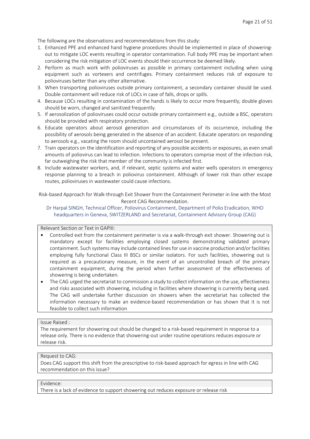The following are the observations and recommendations from this study:

- 1. Enhanced PPE and enhanced hand hygiene procedures should be implemented in place of showeringout to mitigate LOC events resulting in operator contamination. Full body PPE may be important when considering the risk mitigation of LOC events should their occurrence be deemed likely.
- 2. Perform as much work with polioviruses as possible in primary containment including when using equipment such as vortexers and centrifuges. Primary containment reduces risk of exposure to polioviruses better than any other alternative.
- 3. When transporting polioviruses outside primary containment, a secondary container should be used. Double containment will reduce risk of LOCs in case of falls, drops or spills.
- 4. Because LOCs resulting in contamination of the hands is likely to occur more frequently, double gloves should be worn, changed and sanitized frequently.
- 5. If aerosolization of polioviruses could occur outside primary containment e.g., outside a BSC, operators should be provided with respiratory protection.
- 6. Educate operators about aerosol generation and circumstances of its occurrence, including the possibility of aerosols being generated in the absence of an accident. Educate operators on responding to aerosols e.g., vacating the room should uncontained aerosol be present.
- 7. Train operators on the identification and reporting of any possible accidents or exposures, as even small amounts of poliovirus can lead to infection. Infections to operators comprise most of the infection risk, far outweighing the risk that member of the community is infected first.
- 8. Include wastewater workers, and, if relevant, septic systems and water wells operators in emergency response planning to a breach in poliovirus containment. Although of lower risk than other escape routes, polioviruses in wastewater could cause infections.

Risk-based Approach for Walk-through Exit Shower from the Containment Perimeter in line with the Most Recent CAG Recommendation.

Dr Harpal SINGH, Technical Officer, Poliovirus Containment, Department of Polio Eradication, WHO headquarters in Geneva, SWITZERLAND and Secretariat, Containment Advisory Group (CAG)

Relevant Section or Text in GAPIII:

- Controlled exit from the containment perimeter is via a walk-through exit shower. Showering out is mandatory except for facilities employing closed systems demonstrating validated primary containment. Such systems may include contained lines for use in vaccine production and/or facilities employing fully functional Class III BSCs or similar isolators. For such facilities, showering out is required as a precautionary measure, in the event of an uncontrolled breach of the primary containment equipment, during the period when further assessment of the effectiveness of showering is being undertaken.
- The CAG urged the secretariat to commission a study to collect information on the use, effectiveness and risks associated with showering, including in facilities where showering is currently being used. The CAG will undertake further discussion on showers when the secretariat has collected the information necessary to make an evidence-based recommendation or has shown that it is not feasible to collect such information

#### Issue Raised :

The requirement for showering out should be changed to a risk-based requirement in response to a release only. There is no evidence that showering-out under routine operations reduces exposure or release risk.

#### Request to CAG:

Does CAG support this shift from the prescriptive to risk-based approach for egress in line with CAG recommendation on this issue?

## Evidence:

There is a lack of evidence to support showering out reduces exposure or release risk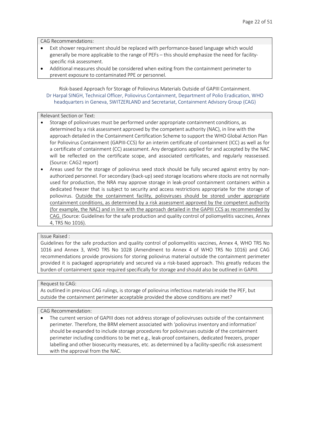CAG Recommendations:

- Exit shower requirement should be replaced with performance-based language which would generally be more applicable to the range of PEFs – this should emphasize the need for facilityspecific risk assessment.
- Additional measures should be considered when exiting from the containment perimeter to prevent exposure to contaminated PPE or personnel.

Risk-based Approach for Storage of Poliovirus Materials Outside of GAPIII Containment. Dr Harpal SINGH, Technical Officer, Poliovirus Containment, Department of Polio Eradication, WHO headquarters in Geneva, SWITZERLAND and Secretariat, Containment Advisory Group (CAG)

Relevant Section or Text:

- Storage of polioviruses must be performed under appropriate containment conditions, as determined by a risk assessment approved by the competent authority (NAC), in line with the approach detailed in the Containment Certification Scheme to support the WHO Global Action Plan for Poliovirus Containment (GAPIII-CCS) for an interim certificate of containment (ICC) as well as for a certificate of containment (CC) assessment. Any derogations applied for and accepted by the NAC will be reflected on the certificate scope, and associated certificates, and regularly reassessed. (Source: CAG2 report)
- Areas used for the storage of poliovirus seed stock should be fully secured against entry by nonauthorized personnel. For secondary (back-up) seed storage locations where stocks are not normally used for production, the NRA may approve storage in leak-proof containment containers within a dedicated freezer that is subject to security and access restrictions appropriate for the storage of poliovirus. Outside the containment facility, polioviruses should be stored under appropriate containment conditions, as determined by a risk assessment approved by the competent authority (for example, the NAC) and in line with the approach detailed in the GAPIII CCS as recommended by CAG. (Source: Guidelines for the safe production and quality control of poliomyelitis vaccines, Annex 4, TRS No 1016).

# Issue Raised :

Guidelines for the safe production and quality control of poliomyelitis vaccines, Annex 4, WHO TRS No 1016 and Annex 3, WHO TRS No 1028 (Amendment to Annex 4 of WHO TRS No 1016) and CAG recommendations provide provisions for storing poliovirus material outside the containment perimeter provided it is packaged appropriately and secured via a risk-based approach. This greatly reduces the burden of containment space required specifically for storage and should also be outlined in GAPIII.

#### Request to CAG:

As outlined in previous CAG rulings, is storage of poliovirus infectious materials inside the PEF, but outside the containment perimeter acceptable provided the above conditions are met?

# CAG Recommendation:

The current version of GAPIII does not address storage of polioviruses outside of the containment perimeter. Therefore, the BRM element associated with 'poliovirus inventory and information' should be expanded to include storage procedures for polioviruses outside of the containment perimeter including conditions to be met e.g., leak-proof containers, dedicated freezers, proper labelling and other biosecurity measures, etc. as determined by a facility-specific risk assessment with the approval from the NAC.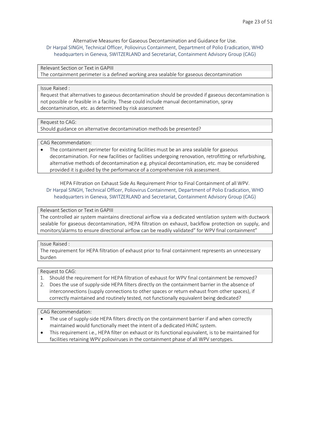Alternative Measures for Gaseous Decontamination and Guidance for Use. Dr Harpal SINGH, Technical Officer, Poliovirus Containment, Department of Polio Eradication, WHO headquarters in Geneva, SWITZERLAND and Secretariat, Containment Advisory Group (CAG)

Relevant Section or Text in GAPIII

The containment perimeter is a defined working area sealable for gaseous decontamination

## Issue Raised :

Request that alternatives to gaseous decontamination should be provided if gaseous decontamination is not possible or feasible in a facility. These could include manual decontamination, spray decontamination, etc. as determined by risk assessment

Request to CAG:

Should guidance on alternative decontamination methods be presented?

CAG Recommendation:

• The containment perimeter for existing facilities must be an area sealable for gaseous decontamination. For new facilities or facilities undergoing renovation, retrofitting or refurbishing, alternative methods of decontamination e.g. physical decontamination, etc. may be considered provided it is guided by the performance of a comprehensive risk assessment.

HEPA Filtration on Exhaust Side As Requirement Prior to Final Containment of all WPV. Dr Harpal SINGH, Technical Officer, Poliovirus Containment, Department of Polio Eradication, WHO headquarters in Geneva, SWITZERLAND and Secretariat, Containment Advisory Group (CAG)

### Relevant Section or Text in GAPIII

The controlled air system maintains directional airflow via a dedicated ventilation system with ductwork sealable for gaseous decontamination, HEPA filtration on exhaust, backflow protection on supply, and monitors/alarms to ensure directional airflow can be readily validated" for WPV final containment"

#### Issue Raised :

The requirement for HEPA filtration of exhaust prior to final containment represents an unnecessary burden

#### Request to CAG:

- 1. Should the requirement for HEPA filtration of exhaust for WPV final containment be removed?
- 2. Does the use of supply-side HEPA filters directly on the containment barrier in the absence of interconnections (supply connections to other spaces or return exhaust from other spaces), if correctly maintained and routinely tested, not functionally equivalent being dedicated?

- The use of supply-side HEPA filters directly on the containment barrier if and when correctly maintained would functionally meet the intent of a dedicated HVAC system.
- This requirement i.e., HEPA filter on exhaust or its functional equivalent, is to be maintained for facilities retaining WPV polioviruses in the containment phase of all WPV serotypes.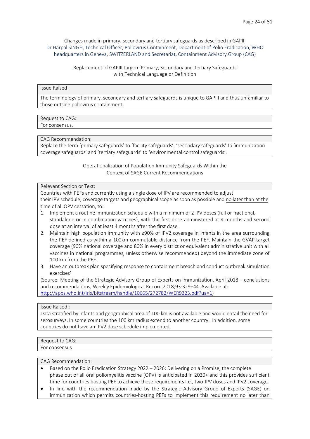Changes made in primary, secondary and tertiary safeguards as described in GAPIII Dr Harpal SINGH, Technical Officer, Poliovirus Containment, Department of Polio Eradication, WHO headquarters in Geneva, SWITZERLAND and Secretariat, Containment Advisory Group (CAG)

> .Replacement of GAPIII Jargon 'Primary, Secondary and Tertiary Safeguards' with Technical Language or Definition

# Issue Raised :

The terminology of primary, secondary and tertiary safeguards is unique to GAPIII and thus unfamiliar to those outside poliovirus containment.

# Request to CAG:

For consensus.

#### CAG Recommendation:

Replace the term 'primary safeguards' to 'facility safeguards', 'secondary safeguards' to 'immunization coverage safeguards' and 'tertiary safeguards' to 'environmental control safeguards'.

> Operationalization of Population Immunity Safeguards Within the Context of SAGE Current Recommendations

#### Relevant Section or Text:

Countries with PEFs and currently using a single dose of IPV are recommended to adjust their IPV schedule, coverage targets and geographical scope as soon as possible and no later than at the time of all OPV cessation, to:

- 1. Implement a routine immunization schedule with a minimum of 2 IPV doses (full or fractional, standalone or in combination vaccines), with the first dose administered at 4 months and second dose at an interval of at least 4 months after the first dose.
- 2. Maintain high population immunity with ≥90% of IPV2 coverage in infants in the area surrounding the PEF defined as within a 100km commutable distance from the PEF. Maintain the GVAP target coverage (90% national coverage and 80% in every district or equivalent administrative unit with all vaccines in national programmes, unless otherwise recommended) beyond the immediate zone of 100 km from the PEF.
- 3. Have an outbreak plan specifying response to containment breach and conduct outbreak simulation exercises'

(Source: Meeting of the Strategic Advisory Group of Experts on immunization, April 2018 – conclusions and recommendations, Weekly Epidemiological Record 2018;93:329–44. Available at: [http://apps.who.int/iris/bitstream/handle/10665/272782/WER9323.pdf?ua=1\)](http://apps.who.int/iris/bitstream/handle/10665/272782/WER9323.pdf?ua=1)

#### Issue Raised :

Data stratified by infants and geographical area of 100 km is not available and would entail the need for serosurveys. In some countries the 100 km radius extend to another country. In addition, some countries do not have an IPV2 dose schedule implemented.

Request to CAG: For consensus

- Based on the Polio Eradication Strategy 2022 2026: Delivering on a Promise, the complete phase out of all oral poliomyelitis vaccine (OPV) is anticipated in 2030+ and this provides sufficient time for countries hosting PEF to achieve these requirements i.e., two-IPV doses and IPV2 coverage.
- In line with the recommendation made by the Strategic Advisory Group of Experts (SAGE) on immunization which permits countries-hosting PEFs to implement this requirement no later than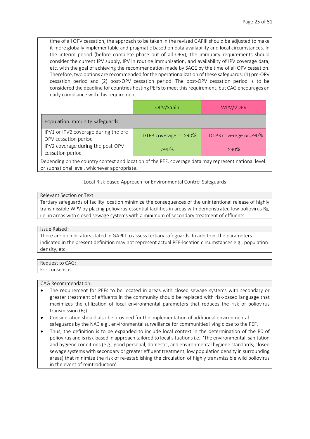time of all OPV cessation, the approach to be taken in the revised GAPIII should be adjusted to make it more globally implementable and pragmatic based on data availability and local circumstances. In the interim period (before complete phase out of all OPV), the immunity requirements should consider the current IPV supply, IPV in routine immunization, and availability of IPV coverage data, etc. with the goal of achieving the recommendation made by SAGE by the time of all OPV cessation. Therefore, two options are recommended for the operationalization of these safeguards: (1) pre-OPV cessation period and (2) post-OPV cessation period. The post-OPV cessation period is to be considered the deadline for countries hosting PEFs to meet this requirement, but CAG encourages an early compliance with this requirement.

|                                                                                                      | OPV/Sabin                     | WPV/VDPV                      |  |  |
|------------------------------------------------------------------------------------------------------|-------------------------------|-------------------------------|--|--|
| Population Immunity Safeguards                                                                       |                               |                               |  |  |
| IPV1 or IPV2 coverage during the pre-<br>OPV cessation period                                        | = DTP3 coverage or $\geq$ 90% | = DTP3 coverage or $\geq$ 90% |  |  |
| IPV2 coverage during the post-OPV<br>cessation period                                                | ≥90%                          | ≥90%                          |  |  |
| Depending on the country context and location of the PEF, coverage data may represent national level |                               |                               |  |  |

or subnational level, whichever appropriate.

Local Risk-based Approach for Environmental Control Safeguards

## Relevant Section or Text:

Tertiary safeguards of facility location minimize the consequences of the unintentional release of highly transmissible WPV by placing poliovirus-essential facilities in areas with demonstrated low poliovirus R<sub>0</sub>. i.e. in areas with closed sewage systems with a minimum of secondary treatment of effluents.

## Issue Raised :

There are no indicators stated in GAPIII to assess tertiary safeguards. In addition, the parameters indicated in the present definition may not represent actual PEF-location circumstances e.g., population density, etc.

| Request to CAG: |  |  |
|-----------------|--|--|
| For consensus   |  |  |

- The requirement for PEFs to be located in areas with closed sewage systems with secondary or greater treatment of effluents in the community should be replaced with risk-based language that maximizes the utilization of local environmental parameters that reduces the risk of poliovirus transmission  $(R_0)$ .
- Consideration should also be provided for the implementation of additional environmental safeguards by the NAC e.g., environmental surveillance for communities living close to the PEF.
- Thus, the definition is to be expanded to include local context in the determination of the R0 of poliovirus and is risk-based in approach tailored to local situations i.e., 'The environmental, sanitation and hygiene conditions (e.g., good personal, domestic, and environmental hygiene standards; closed sewage systems with secondary or greater effluent treatment; low population density in surrounding areas) that minimize the risk of re-establishing the circulation of highly transmissible wild poliovirus in the event of reintroduction'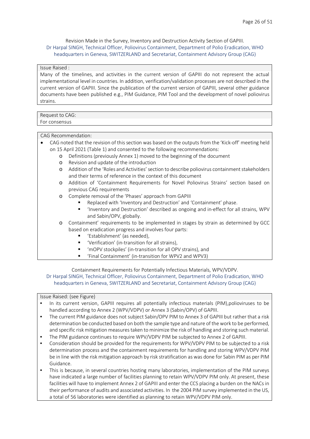Revision Made in the Survey, Inventory and Destruction Activity Section of GAPIII. Dr Harpal SINGH, Technical Officer, Poliovirus Containment, Department of Polio Eradication, WHO headquarters in Geneva, SWITZERLAND and Secretariat, Containment Advisory Group (CAG)

## Issue Raised :

Many of the timelines, and activities in the current version of GAPIII do not represent the actual implementational level in countries. In addition, verification/validation processes are not described in the current version of GAPIII. Since the publication of the current version of GAPIII, several other guidance documents have been published e.g., PIM Guidance, PIM Tool and the development of novel poliovirus strains.

#### Request to CAG: For consensus

CAG Recommendation:

- CAG noted that the revision of this section was based on the outputs from the 'Kick-off' meeting held on 15 April 2021 (Table 1) and consented to the following recommendations:
	- o Definitions (previously Annex 1) moved to the beginning of the document
	- o Revision and update of the introduction
	- o Addition of the 'Roles and Activities' section to describe poliovirus containment stakeholders and their terms of reference in the context of this document
	- o Addition of 'Containment Requirements for Novel Poliovirus Strains' section based on previous CAG requirements
	- o Complete removal of the 'Phases' approach from GAPIII
		- Replaced with 'Inventory and Destruction' and 'Containment' phase.
		- 'Inventory and Destruction' described as ongoing and in-effect for all strains, WPV and Sabin/OPV, globally.
	- o Containment' requirements to be implemented in stages by strain as determined by GCC based on eradication progress and involves four parts:
		- 'Establishment' (as needed),
		- 'Verification' (in-transition for all strains),
		- 'mOPV stockpiles' (in-transition for all OPV strains), and
		- 'Final Containment' (in-transition for WPV2 and WPV3)

Containment Requirements for Potentially Infectious Materials, WPV/VDPV. Dr Harpal SINGH, Technical Officer, Poliovirus Containment, Department of Polio Eradication, WHO headquarters in Geneva, SWITZERLAND and Secretariat, Containment Advisory Group (CAG)

## Issue Raised: (see Figure)

- In its current version, GAPIII requires all potentially infectious materials (PIM),polioviruses to be handled according to Annex 2 (WPV/VDPV) or Annex 3 (Sabin/OPV) of GAPIII.
- The current PIM guidance does not subject Sabin/OPV PIM to Annex 3 of GAPIII but rather that a risk determination be conducted based on both the sample type and nature of the work to be performed, and specific risk mitigation measures taken to minimize the risk of handling and storing such material.
- The PIM guidance continues to require WPV/VDPV PIM be subjected to Annex 2 of GAPIII.
- Consideration should be provided for the requirements for WPV/VDPV PIM to be subjected to a risk determination process and the containment requirements for handling and storing WPV/VDPV PIM be in line with the risk mitigation approach by risk stratification as was done for Sabin PIM as per PIM Guidance.
- This is because, in several countries hosting many laboratories, implementation of the PIM surveys have indicated a large number of facilities planning to retain WPV/VDPV PIM only. At present, these facilities will have to implement Annex 2 of GAPIII and enter the CCS placing a burden on the NACs in their performance of audits and associated activities. In the 2004 PIM survey implemented in the US, a total of 56 laboratories were identified as planning to retain WPV/VDPV PIM only.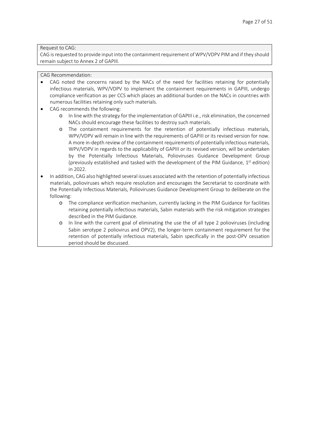#### Request to CAG:

CAG is requested to provide input into the containment requirement of WPV/VDPV PIM and if they should remain subject to Annex 2 of GAPIII.

- CAG noted the concerns raised by the NACs of the need for facilities retaining for potentially infectious materials, WPV/VDPV to implement the containment requirements in GAPIII, undergo compliance verification as per CCS which places an additional burden on the NACs in countries with numerous facilities retaining only such materials.
- CAG recommends the following:
	- o In line with the strategy for the implementation of GAPIII i.e., risk elimination, the concerned NACs should encourage these facilities to destroy such materials.
	- o The containment requirements for the retention of potentially infectious materials, WPV/VDPV will remain in line with the requirements of GAPIII or its revised version for now. A more in-depth review of the containment requirements of potentially infectious materials, WPV/VDPV in regards to the applicability of GAPIII or its revised version, will be undertaken by the Potentially Infectious Materials, Polioviruses Guidance Development Group (previously established and tasked with the development of the PIM Guidance,  $1<sup>st</sup>$  edition) in 2022.
- In addition, CAG also highlighted several issues associated with the retention of potentially infectious materials, polioviruses which require resolution and encourages the Secretariat to coordinate with the Potentially Infectious Materials, Polioviruses Guidance Development Group to deliberate on the following:
	- o The compliance verification mechanism, currently lacking in the PIM Guidance for facilities retaining potentially infectious materials, Sabin materials with the risk mitigation strategies described in the PIM Guidance.
	- o In line with the current goal of eliminating the use the of all type 2 polioviruses (including Sabin serotype 2 poliovirus and OPV2), the longer-term containment requirement for the retention of potentially infectious materials, Sabin specifically in the post-OPV cessation period should be discussed.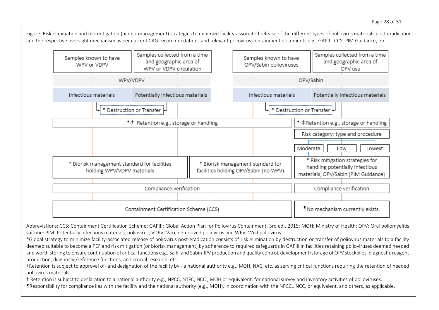Figure: Risk elimination and risk mitigation (biorisk management) strategies to minimize facility-associated release of the different types of poliovirus materials post-eradication and the respective oversight mechanism as per current CAG recommendations and relevant poliovirus containment documents e.g., GAPIII, CCS, PIM Guidance, etc.



Abbreviations: CCS: Containment Certification Scheme; GAPIII: Global Action Plan for Poliovirus Containment, 3rd ed., 2015; MOH: Ministry of Health; OPV: Oral poliomyelitis vaccine: PIM: Potentially infectious materials, poliovirus; VDPV: Vaccine-derived poliovirus and WPV: Wild poliovirus.

\*Global strategy to minimize facility-associated release of poliovirus post-eradication consists of risk elimination by destruction or transfer of poliovirus materials to a facility deemed suitable to become a PEF and risk mitigation (or biorisk management) by adherence to required safeguards in GAPIII in facilities retaining polioviruses deemed needed and worth storing to ensure continuation of critical functions e.g., Salk- and Sabin-IPV production and quality control, development/storage of OPV stockpiles, diagnostic reagent production, diagnostic/reference functions, and crucial research, etc.

†Retention is subject to approval of- and designation of the facility by - a national authority e.g., MOH, NAC, etc. as serving critical functions requiring the retention of needed poliovirus materials.

‡ Retention is subject to declaration to a national authority e.g., NPCC, NTFC, NCC , MOH or equivalent, for national survey and inventory activities of polioviruses. ¶Responsibility for compliance lies with the facility and the national authority (e.g., MOH), in coordination with the NPCC,, NCC, or equivalent, and others, as applicable.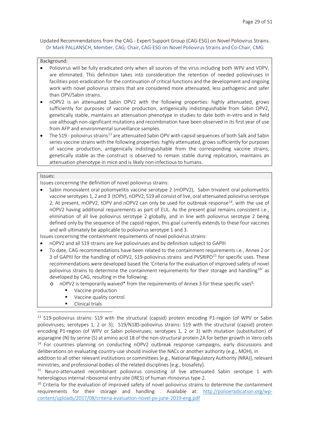Updated Recommendations from the CAG - Expert Support Group (CAG-ESG) on Novel Poliovirus Strains. Dr Mark PALLANSCH, Member, CAG; Chair, CAG-ESG on Novel Poliovirus Strains and Co-Chair, CMG

#### Background:

- Poliovirus will be fully eradicated only when all sources of the virus including both WPV and VDPV, are eliminated. This definition takes into consideration the retention of needed polioviruses in facilities post-eradication for the continuation of critical functions and the development and ongoing work with novel poliovirus strains that are considered more attenuated, less pathogenic and safer than OPV/Sabin strains.
- nOPV2 is an attenuated Sabin OPV2 with the following properties: highly attenuated, grows sufficiently for purposes of vaccine production, antigenically indistinguishable from Sabin OPV2, genetically stable, maintains an attenuation phenotype in studies to date both in-vitro and in field use although non-significant mutations and recombination have been observed in its first year of use from AFP and environmental surveillance samples.
- The S19 poliovirus strains<sup>[13](#page-28-0)</sup> are attenuated Sabin OPV with capsid sequences of both Salk and Sabin series vaccine strains with the following properties: highly attenuated, grows sufficiently for purposes of vaccine production, antigenically indistinguishable from the corresponding vaccine strains, genetically stable as the construct is observed to remain stable during replication, maintains an attenuation phenotype in mice and is likely non-infectious to humans.

#### Issues:

Issues concerning the definition of novel poliovirus strains:

<span id="page-28-4"></span>• Sabin monovalent oral poliomyelitis vaccine serotype 2 (mOPV2), Sabin trivalent oral poliomyelitis vaccine serotypes 1, 2 and 3 (tOPV), nOPV2, S19 all consist of live, oral attenuated poliovirus serotype 2. At present, mOPV2, tOPV and nOPV2 can only be used for outbreak response<sup>14</sup>, with the use of nOPV2 having additional requirements as part of EUL. As the present goal remains consistent i.e., elimination of all live poliovirus serotype 2 globally, and in line with poliovirus serotype 2 being defined only by the sequence of the capsid region, this goal currently extends to these four vaccines and will ultimately be applicable to poliovirus serotype 1 and 3.

Issues concerning the containment requirements of novel poliovirus strains:

- nOPV2 and all S19 strains are live polioviruses and by definition subject to GAPIII
- To date, CAG recommendations have been related to the containment requirements i.e., Annex 2 or 3 of GAPIII for the handling of nOPV2, S19-poliovirus strains and PVSRIPO<sup>[15](#page-28-2)</sup> for specific uses. These recommendations were developed based the 'Criteria for the evaluation of improved safety of novel poliovirus strains to determine the containment requirements for their storage and handling<sup>[16](#page-28-3)</sup> as developed by CAG, resulting in the following:
	- o nOPV2 is temporarily waived\* from the requirements of Annex 3 for these specific uses<sup>§</sup>:
		- Vaccine production
			- Vaccine quality control
		- Clinical trials

<span id="page-28-1"></span>addition to all other relevant institutions or committees [e.g., National Regulatory Authority (NRA)], relevant ministries, and professional bodies of the related disciplines [e.g., biosafety].

<span id="page-28-2"></span><sup>15</sup> Neuro-attenuated recombinant poliovirus consisting of live attenuated Sabin serotype 1 with heterologous internal ribosomal entry site (IRES) of human rhinovirus type 2.

<span id="page-28-3"></span><sup>16</sup> Criteria for the evaluation of improved safety of novel poliovirus strains to determine the containment requirements for their storage and handling . Available at: [http://polioeradication.org/wp](http://polioeradication.org/wp-content/uploads/2017/08/criteria-evaluation-novel-pv-june-2019-eng.pdf)[content/uploads/2017/08/criteria-evaluation-novel-pv-june-2019-eng.pdf](http://polioeradication.org/wp-content/uploads/2017/08/criteria-evaluation-novel-pv-june-2019-eng.pdf)

<span id="page-28-0"></span><sup>&</sup>lt;sup>13</sup> S19-poliovirus strains: S19 with the structural (capsid) protein encoding P1-region (of WPV or Sabin polioviruses; serotypes 1, 2 or 3); S19/N18S-poliovirus strains: S19 with the structural (capsid) protein encoding P1-region (of WPV or Sabin polioviruses; serotypes 1, 2 or 3) with mutation (substitution) of asparagine (N) by serine (S) at amino acid 18 of the non-structural protein 2A for better growth in Vero cells<br><sup>14</sup> For countries planning on conducting nOPV2 outbreak response campaigns, early discussions and deliberations on evaluating country-use should involve the NACs or another authority (e.g., MOH), in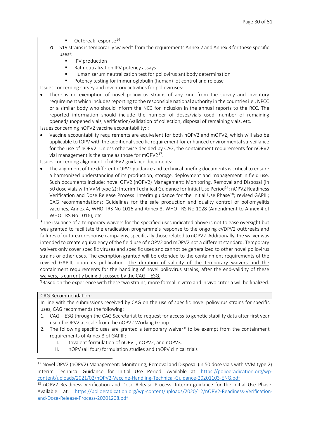- $\blacksquare$  Outbreak response<sup>14</sup>
- o S19 strains istemporarily waived\* from the requirements Annex 2 and Annex 3 for these specific uses§ :
	- IPV production
	- Rat neutralization IPV potency assays
	- **Human serum neutralization test for poliovirus antibody determination**
	- Potency testing for immunoglobulin (human) lot control and release

Issues concerning survey and inventory activities for polioviruses:

There is no exemption of novel poliovirus strains of any kind from the survey and inventory requirement which includes reporting to the responsible national authority in the countries i.e., NPCC or a similar body who should inform the NCC for inclusion in the annual reports to the RCC. The reported information should include the number of doses/vials used, number of remaining opened/unopened vials, verification/validation of collection, disposal of remaining vials, etc. Issues concerning nOPV2 vaccine accountability: :

• Vaccine accountability requirements are equivalent for both nOPV2 and mOPV2, which will also be

<span id="page-29-0"></span>applicable to tOPV with the additional specific requirement for enhanced environmental surveillance for the use of nOPV2. Unless otherwise decided by CAG, the containment requirements for nOPV2 vial management is the same as those for mOPV2 $^{17}$ .

Issues concerning alignment of nOPV2 guidance documents:

• The alignment of the different nOPV2 guidance and technical briefing documents is critical to ensure a harmonized understanding of its production, storage, deployment and management in field use. Such documents include: novel OPV2 (nOPV2) Management: Monitoring, Removal and Disposal (in 50 dose vials with VVM type 2): Interim Technical Guidance for Initial Use Period<sup>17</sup>; nOPV2 Readiness Verification and Dose Release Process: Interim guidance for the Initial Use Phase<sup>[18](#page-29-2)</sup>; revised GAPIII; CAG recommendations; Guidelines for the safe production and quality control of poliomyelitis vaccines, Annex 4, WHO TRS No 1016 and Annex 3, WHO TRS No 1028 (Amendment to Annex 4 of WHO TRS No 1016), etc.

\*The issuance of a temporary waivers for the specified uses indicated above is not to ease oversight but was granted to facilitate the eradication programme's response to the ongoing cVDPV2 outbreaks and failures of outbreak response campaigns, specifically those related to nOPV2. Additionally, the waiver was intended to create equivalency of the field use of nOPV2 and mOPV2 not a different standard. Temporary waivers only cover specific viruses and specific uses and cannot be generalized to other novel poliovirus strains or other uses. The exemption granted will be extended to the containment requirements of the revised GAPIII, upon its publication. The duration of validity of the temporary waivers and the containment requirements for the handling of novel poliovirus strains, after the end-validity of these waivers, is currently being discussed by the CAG – ESG.

¶Based on the experience with these two strains, more formal in vitro and in vivo criteria will be finalized.

# CAG Recommendation:

In line with the submissions received by CAG on the use of specific novel poliovirus strains for specific uses, CAG recommends the following:

- 1. CAG ESG through the CAG Secretariat to request for access to genetic stability data after first year use of nOPV2 at scale from the nOPV2 Working Group.
- 2. The following specific uses are granted a temporary waiver\* to be exempt from the containment requirements of Annex 3 of GAPIII:
	- I. trivalent formulation of nOPV1, nOPV2, and nOPV3.
	- II. nOPV (all four) formulation studies and tnOPV clinical trials

<span id="page-29-1"></span><sup>17</sup> Novel OPV2 (nOPV2) Management: Monitoring, Removal and Disposal (in 50 dose vials with VVM type 2) Interim Technical Guidance for Initial Use Period. Available at: [https://polioeradication.org/wp](https://polioeradication.org/wp-content/uploads/2021/02/nOPV2-Vaccine-Handling-Technical-Guidance-20201103-ENG.pdf)[content/uploads/2021/02/nOPV2-Vaccine-Handling-Technical-Guidance-20201103-ENG.pdf](https://polioeradication.org/wp-content/uploads/2021/02/nOPV2-Vaccine-Handling-Technical-Guidance-20201103-ENG.pdf)

<span id="page-29-2"></span><sup>&</sup>lt;sup>18</sup> nOPV2 Readiness Verification and Dose Release Process: Interim guidance for the Initial Use Phase. Available at: [https://polioeradication.org/wp-content/uploads/2020/12/nOPV2-Readiness-Verification](https://polioeradication.org/wp-content/uploads/2020/12/nOPV2-Readiness-Verification-and-Dose-Release-Process-20201208.pdf)[and-Dose-Release-Process-20201208.pdf](https://polioeradication.org/wp-content/uploads/2020/12/nOPV2-Readiness-Verification-and-Dose-Release-Process-20201208.pdf)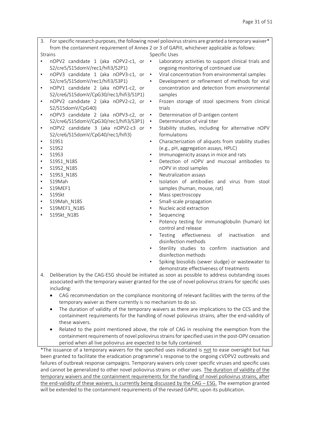3. Forspecific research purposes, the following novel poliovirus strains are granted a temporary waiver\* from the containment requirement of Annex 2 or 3 of GAPIII, whichever applicable as follows: Strains Specific Uses

- nOPV2 candidate 1 (aka nOPV2-c1, or S2/cre5/S15domV/rec1/hifi3/S2P1)
- nOPV3 candidate 1 (aka nOPV3-c1, or S2/cre5/S15domV/rec1/hifi3/S3P1)
- nOPV1 candidate 2 (aka nOPV1-c2, or S2/cre6/S15domV/CpG30/rec1/hifi3/S1P1)
- nOPV2 candidate 2 (aka nOPV2-c2, or S2/S15domV/CpG40)
- nOPV3 candidate 2 (aka nOPV3-c2, or S2/cre6/S15domV/CpG30/rec1/hifi3/S3P1)
- nOPV2 candidate 3 (aka nOPV2-c3 or S2/cre6/S15domV/CpG40/rec1/hifi3)
- S19S1
- S19S2
- S19S3
- S19S1\_N18S
- S19S2\_N18S
- S19S3\_N18S
- S19Mah
- S19MEF1
- S19Skt
- S19Mah N18S
- S19MEF1\_N18S
- S19Skt\_N18S
- Laboratory activities to support clinical trials and ongoing monitoring of continued use
- Viral concentration from environmental samples
- Development or refinement of methods for viral concentration and detection from environmental samples
- Frozen storage of stool specimens from clinical trials
- Determination of D-antigen content
- Determination of viral titer
- Stability studies, including for alternative nOPV formulations
- Characterization of aliquots from stability studies (e.g., pH, aggregation assays, HPLC)
- Immunogenicity assays in mice and rats
- Detection of nOPV and mucosal antibodies to nOPV in stool samples
- Neutralization assays
- Isolation of antibodies and virus from stool samples (human, mouse, rat)
- Mass spectroscopy
- Small-scale propagation
- Nucleic acid extraction
- Sequencing
- Potency testing for immunoglobulin (human) lot control and release
- Testing effectiveness of inactivation and disinfection methods
- Sterility studies to confirm inactivation and disinfection methods
- Spiking biosolids (sewer sludge) or wastewater to demonstrate effectiveness of treatments
- 4. Deliberation by the CAG-ESG should be initiated as soon as possible to address outstanding issues associated with the temporary waiver granted for the use of novel poliovirus strains for specific uses including:
	- CAG recommendation on the compliance monitoring of relevant facilities with the terms of the temporary waiver as there currently is no mechanism to do so.
	- The duration of validity of the temporary waivers as there are implications to the CCS and the containment requirements for the handling of novel poliovirus strains, after the end-validity of these waivers.
	- Related to the point mentioned above, the role of CAG in resolving the exemption from the containment requirements of novel poliovirus strainsfor specified uses in the post-OPV cessation period when all live poliovirus are expected to be fully contained.

\*The issuance of a temporary waivers for the specified uses indicated is not to ease oversight but has been granted to facilitate the eradication programme's response to the ongoing cVDPV2 outbreaks and failures of outbreak response campaigns. Temporary waivers only cover specific viruses and specific uses and cannot be generalized to other novel poliovirus strains or other uses. The duration of validity of the temporary waivers and the containment requirements for the handling of novel poliovirus strains, after the end-validity of these waivers, is currently being discussed by the CAG – ESG. The exemption granted will be extended to the containment requirements of the revised GAPIII, upon its publication.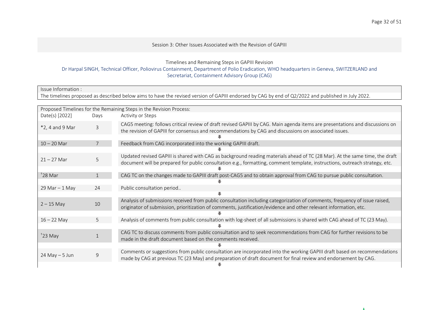# Session 3: Other Issues Associated with the Revision of GAPIII

# Timelines and Remaining Steps in GAPIII Revision Dr Harpal SINGH, Technical Officer, Poliovirus Containment, Department of Polio Eradication, WHO headquarters in Geneva, SWITZERLAND and Secretariat, Containment Advisory Group (CAG)

| Issue Information :                                                                                                                                |  |
|----------------------------------------------------------------------------------------------------------------------------------------------------|--|
| The timelines proposed as described below aims to have the revised version of GAPIII endorsed by CAG by end of Q2/2022 and published in July 2022. |  |

|                             |              | Proposed Timelines for the Remaining Steps in the Revision Process:                                                                                                                                                                                        |  |  |
|-----------------------------|--------------|------------------------------------------------------------------------------------------------------------------------------------------------------------------------------------------------------------------------------------------------------------|--|--|
| Date(s) [2022]              | Days         | Activity or Steps                                                                                                                                                                                                                                          |  |  |
| $*2$ , 4 and 9 Mar          | $\mathsf{3}$ | CAG5 meeting: follows critical review of draft revised GAPIII by CAG. Main agenda items are presentations and discussions on<br>the revision of GAPIII for consensus and recommendations by CAG and discussions on associated issues.                      |  |  |
| $10 - 20$ Mar               |              | Feedback from CAG incorporated into the working GAPIII draft.                                                                                                                                                                                              |  |  |
|                             |              |                                                                                                                                                                                                                                                            |  |  |
| $21 - 27$ Mar               | 5            | Updated revised GAPIII is shared with CAG as background reading materials ahead of TC (28 Mar). At the same time, the draft<br>document will be prepared for public consultation e.g., formatting, comment template, instructions, outreach strategy, etc. |  |  |
| $^{\dagger}$ 28 Mar         | $\mathbf{1}$ | CAG TC on the changes made to GAPIII draft post-CAG5 and to obtain approval from CAG to pursue public consultation.                                                                                                                                        |  |  |
|                             |              |                                                                                                                                                                                                                                                            |  |  |
| 29 Mar $-$ 1 May            | 24           | Public consultation period                                                                                                                                                                                                                                 |  |  |
|                             |              |                                                                                                                                                                                                                                                            |  |  |
| $2 - 15$ May                | 10           | Analysis of submissions received from public consultation including categorization of comments, frequency of issue raised,<br>originator of submission, prioritization of comments, justification/evidence and other relevant information, etc.            |  |  |
|                             |              |                                                                                                                                                                                                                                                            |  |  |
| $16 - 22$ May               | 5            | Analysis of comments from public consultation with log-sheet of all submissions is shared with CAG ahead of TC (23 May).                                                                                                                                   |  |  |
|                             |              |                                                                                                                                                                                                                                                            |  |  |
| $\mathrm{^{\dagger}23}$ May | $\mathbf 1$  | CAG TC to discuss comments from public consultation and to seek recommendations from CAG for further revisions to be<br>made in the draft document based on the comments received.                                                                         |  |  |
|                             |              |                                                                                                                                                                                                                                                            |  |  |
| $24$ May $-5$ Jun           | 9            | Comments or suggestions from public consultation are incorporated into the working GAPIII draft based on recommendations<br>made by CAG at previous TC (23 May) and preparation of draft document for final review and endorsement by CAG.                 |  |  |
|                             |              |                                                                                                                                                                                                                                                            |  |  |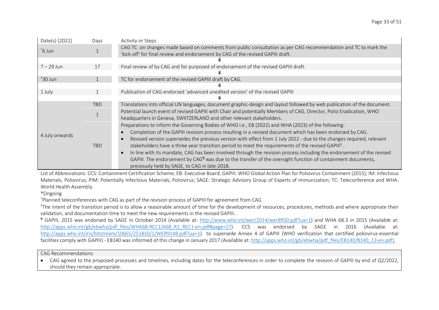| Date(s) [2022]              | Days         | Activity or Steps                                                                                                                                                                                  |  |  |
|-----------------------------|--------------|----------------------------------------------------------------------------------------------------------------------------------------------------------------------------------------------------|--|--|
| $\mathrm{^{1}6}$ Jun        |              | CAG TC .on changes made based on comments from public consultation as per CAG recommendation and TC to mark the<br>'kick-off' for final review and endorsement by CAG of the revised GAPIII draft. |  |  |
|                             |              |                                                                                                                                                                                                    |  |  |
| $7 - 29$ Jun                | 17           | Final review of by CAG and for purposed of endorsement of the revised GAPIII draft.                                                                                                                |  |  |
|                             |              |                                                                                                                                                                                                    |  |  |
| $\mathrm{^{\dagger}30}$ Jun | $\mathbf{1}$ | TC for endorsement of the revised GAPIII draft by CAG.                                                                                                                                             |  |  |
|                             |              |                                                                                                                                                                                                    |  |  |
| 1 July                      |              | Publication of CAG-endorsed 'advanced unedited version' of the revised GAPIII                                                                                                                      |  |  |
|                             |              |                                                                                                                                                                                                    |  |  |
|                             | <b>TBD</b>   | Translations into official UN languages, document graphic-design and layout followed by web publication of the document.                                                                           |  |  |
|                             | 1            | Potential launch event of revised GAPIII with Chair and potentially Members of CAG, Director, Polio Eradication, WHO                                                                               |  |  |
|                             |              | headquarters in Geneva, SWIITZERLAND and other relevant stakeholders.                                                                                                                              |  |  |
| 4 July onwards              |              | Preparations to inform the Governing Bodies of WHO i.e., EB (2022) and WHA (2023) of the following:                                                                                                |  |  |
|                             |              | Completion of the GAPIII revision process resulting in a revised document which has been endorsed by CAG.<br>$\bullet$                                                                             |  |  |
|                             |              | Revised version supersedes the previous version with effect from 1 July 2022 - due to the changes required, relevant<br>$\bullet$                                                                  |  |  |
|                             | <b>TBD</b>   | stakeholders have a three year transition period to meet the requirements of the revised GAPIII <sup>‡</sup> .                                                                                     |  |  |
|                             |              | In line with its mandate, CAG has been involved through the revision process including the endorsement of the revised<br>$\bullet$                                                                 |  |  |
|                             |              | GAPIII. The endorsement by $CAG^{\eta}$ was due to the transfer of the oversight function of containment documents,                                                                                |  |  |
|                             |              | previously held by SAGE, to CAG in late-2018.                                                                                                                                                      |  |  |

List of Abbreviations: CCS: Containment Certification Scheme; EB: Executive Board; GAPIII: WHO Global Action Plan for Poliovirus Containment (2015); IM: Infectious Materials, Poliovirus; PIM: Potentially Infectious Materials, Poliovirus; SAGE: Strategic Advisory Group of Experts of immunization; TC: Teleconference and WHA: World Health Assembly.

\*Ongoing

† Planned teleconferences with CAG as part of the revision process of GAPIII for agreement from CAG.

‡ The intent of the transition period is to allow a reasonable amount of time for the development of resources, procedures, methods and where appropriate their validation, and documentation time to meet the new requirements in the revised GAPIII..

¶ GAPIII, 2015 was endorsed by SAGE In October 2014 (Available at: [http://www.who.int/wer/2014/wer8950.pdf?ua=1\)](http://www.who.int/wer/2014/wer8950.pdf?ua=1) and WHA 68.3 in 2015 (Available at: http://apps.who.int/gb/ebwha/pdf files/WHA68-REC1/A68\_R1\_REC1-en.pdf#page=27). CCS was endorsed by SAGE in 2016 (Available at: [http://apps.who.int/iris/bitstream/10665/251810/1/WER9148.pdf?ua=1\)](http://apps.who.int/iris/bitstream/10665/251810/1/WER9148.pdf?ua=1) to supersede Annex 4 of GAPIII (WHO verification that certified poliovirus-essential facilities comply with GAPIII) - EB140 was informed of this change in January 2017 (Available at: http://apps.who.int/gb/ebwha/pdf files/EB140/B140\_13-en.pdf).

CAG Recommendations:

• CAG agreed to the proposed processes and timelines, including dates for the teleconferences in order to complete the revision of GAPIII by end of Q2/2022, should they remain appropriate.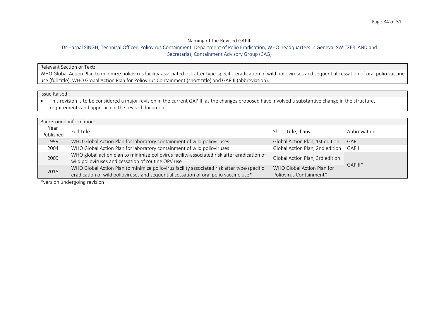# Naming of the Revised GAPIII

# Dr Harpal SINGH, Technical Officer, Poliovirus Containment, Department of Polio Eradication, WHO headquarters in Geneva, SWITZERLAND and Secretariat, Containment Advisory Group (CAG)

# Relevant Section or Text:

WHO Global Action Plan to minimize poliovirus facility-associated risk after type-specific eradication of wild polioviruses and sequential cessation of oral polio vaccine use (full title), WHO Global Action Plan for Poliovirus Containment (short title) and GAPIII (abbreviation).

Issue Raised :

• This revision is to be considered a major revision in the current GAPIII, as the changes proposed have involved a substantive change in the structure, requirements and approach in the revised document.

| Background information: |                                                                                                                                                                                    |                                                       |              |  |  |
|-------------------------|------------------------------------------------------------------------------------------------------------------------------------------------------------------------------------|-------------------------------------------------------|--------------|--|--|
| Year<br>Published       | Full Title                                                                                                                                                                         | Short Title, if any                                   | Abbreviation |  |  |
| 1999                    | WHO Global Action Plan for laboratory containment of wild polioviruses                                                                                                             | Global Action Plan, 1st edition                       | GAPI         |  |  |
| 2004                    | WHO Global Action Plan for laboratory containment of wild polioviruses                                                                                                             | Global Action Plan, 2nd edition GAPII                 |              |  |  |
| 2009                    | WHO global action plan to minimize poliovirus facility-associated risk after eradication of<br>wild polioviruses and cessation of routine OPV use                                  | Global Action Plan, 3rd edition                       | GAPIII*      |  |  |
| 2015                    | WHO Global Action Plan to minimize poliovirus facility associated risk after type-specific<br>eradication of wild polioviruses and sequential cessation of oral polio vaccine use* | WHO Global Action Plan for<br>Poliovirus Containment* |              |  |  |

\*version undergoing revision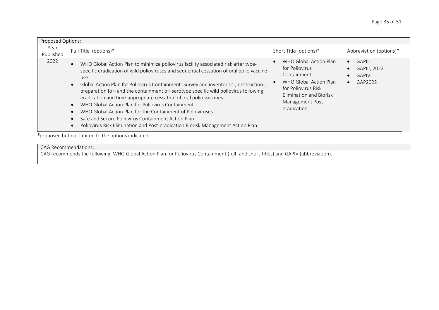| Proposed Options: |                                                                                                                                                                                                                                                                                                                                                                                                                                                                                                                                                                                                                                                                                                                      |                                                                                                                                                                                     |                                                                                                 |
|-------------------|----------------------------------------------------------------------------------------------------------------------------------------------------------------------------------------------------------------------------------------------------------------------------------------------------------------------------------------------------------------------------------------------------------------------------------------------------------------------------------------------------------------------------------------------------------------------------------------------------------------------------------------------------------------------------------------------------------------------|-------------------------------------------------------------------------------------------------------------------------------------------------------------------------------------|-------------------------------------------------------------------------------------------------|
| Year<br>Published | Full Title (options)*                                                                                                                                                                                                                                                                                                                                                                                                                                                                                                                                                                                                                                                                                                | Short Title (options)*                                                                                                                                                              | Abbreviation (options)*                                                                         |
| 2022              | WHO Global Action Plan to minimize poliovirus facility associated risk after type-<br>specific eradication of wild polioviruses and sequential cessation of oral polio vaccine<br>use<br>Global Action Plan for Poliovirus Containment: Survey and inventories-, destruction-,<br>preparation for- and the containment of- serotype specific wild poliovirus following<br>eradication and time-appropriate cessation of oral polio vaccines<br>WHO Global Action Plan for Poliovirus Containment<br>WHO Global Action Plan for the Containment of Polioviruses<br>Safe and Secure Poliovirus Containment Action Plan<br>$\bullet$<br>Poliovirus Risk Elimination and Post-eradication Biorisk Management Action Plan | WHO Global Action Plan<br>$\bullet$<br>for Poliovirus<br>Containment<br>WHO Global Action Plan<br>for Poliovirus Risk<br>Elimination and Biorisk<br>Management Post-<br>eradication | GAPIII<br>$\bullet$<br><b>GAPIII, 2022</b><br>$\bullet$<br><b>GAPIV</b><br>GAP2022<br>$\bullet$ |
|                   | <sup>1</sup> proposed but not limited to the options indicated.                                                                                                                                                                                                                                                                                                                                                                                                                                                                                                                                                                                                                                                      |                                                                                                                                                                                     |                                                                                                 |

CAG Recommendations:

CAG recommends the following: WHO Global Action Plan for Poliovirus Containment (full- and short-titles) and GAPIV (abbreviation).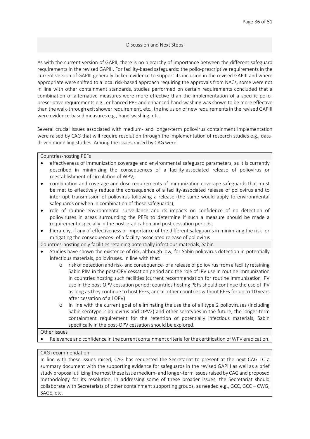### Discussion and Next Steps

As with the current version of GAPII, there is no hierarchy of importance between the different safeguard requirements in the revised GAPIII. For facility-based safeguards: the polio-prescriptive requirements in the current version of GAPIII generally lacked evidence to support its inclusion in the revised GAPIII and where appropriate were shifted to a local risk-based approach requiring the approvals from NACs, some were not in line with other containment standards, studies performed on certain requirements concluded that a combination of alternative measures were more effective than the implementation of a specific polioprescriptive requirements e.g., enhanced PPE and enhanced hand-washing was shown to be more effective than the walk-through exit shower requirement, etc., the inclusion of new requirements in the revised GAPIII were evidence-based measures e.g., hand-washing, etc.

Several crucial issues associated with medium- and longer-term poliovirus containment implementation were raised by CAG that will require resolution through the implementation of research studies e.g., datadriven modelling studies. Among the issues raised by CAG were:

Countries-hosting PEFs

- effectiveness of immunization coverage and environmental safeguard parameters, as it is currently described in minimizing the consequences of a facility-associated release of poliovirus or reestablishment of circulation of WPV;
- combination and coverage and dose requirements of immunization coverage safeguards that must be met to effectively reduce the consequence of a facility-associated release of poliovirus and to interrupt transmission of poliovirus following a release (the same would apply to environmental safeguards or when in combination of these safeguards);
- role of routine environmental surveillance and its impacts on confidence of no detection of polioviruses in areas surrounding the PEFs to determine if such a measure should be made a requirement especially in the post-eradication and post-cessation periods;
- hierarchy, if any of effectiveness or importance of the different safeguards in minimizing the risk- or mitigating the consequences- of a facility-associated release of poliovirus

Countries-hosting only facilities retaining potentially infectious materials, Sabin

- Studies have shown the existence of risk, although low, for Sabin poliovirus detection in potentially infectious materials, polioviruses. In line with that:
	- o risk of detection and risk- and consequence- of a release of poliovirus from a facility retaining Sabin PIM in the post-OPV cessation period and the role of IPV use in routine immunization in countries hosting such facilities (current recommendation for routine immunization IPV use in the post-OPV cessation period: countries hosting PEFs should continue the use of IPV as long as they continue to host PEFs, and all other countries without PEFs for up to 10 years after cessation of all OPV)
	- o In line with the current goal of eliminating the use the of all type 2 polioviruses (including Sabin serotype 2 poliovirus and OPV2) and other serotypes in the future, the longer-term containment requirement for the retention of potentially infectious materials, Sabin specifically in the post-OPV cessation should be explored.

#### Other issues

• Relevance and confidence in the current containment criteria for the certification of WPV eradication.

#### CAG recommendation:

In line with these issues raised, CAG has requested the Secretariat to present at the next CAG TC a summary document with the supporting evidence for safeguards in the revised GAPIII as well as a brief study proposal utilizing the most these issue medium- and longer-term issues raised by CAG and proposed methodology for its resolution. In addressing some of these broader issues, the Secretariat should collaborate with Secretariats of other containment supporting groups, as needed e.g., GCC, GCC – CWG, SAGE, etc.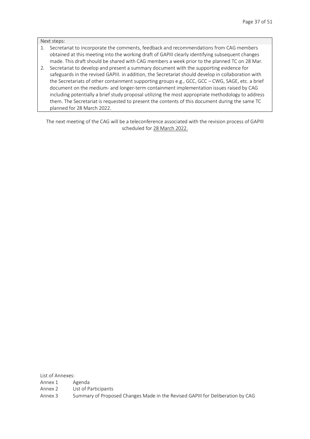### Next steps:

- 1. Secretariat to incorporate the comments, feedback and recommendations from CAG members obtained at this meeting into the working draft of GAPIII clearly identifying subsequent changes made. This draft should be shared with CAG members a week prior to the planned TC on 28 Mar.
- 2. Secretariat to develop and present a summary document with the supporting evidence for safeguards in the revised GAPIII. in addition, the Secretariat should develop in collaboration with the Secretariats of other containment supporting groups e.g., GCC, GCC – CWG, SAGE, etc. a brief document on the medium- and longer-term containment implementation issues raised by CAG including potentially a brief study proposal utilizing the most appropriate methodology to address them. The Secretariat is requested to present the contents of this document during the same TC planned for 28 March 2022.

The next meeting of the CAG will be a teleconference associated with the revision process of GAPIII scheduled for 28 March 2022.

List of Annexes:

- Annex 1 Agenda
- Annex 2 List of Participants

Annex 3 Summary of Proposed Changes Made in the Revised GAPIII for Deliberation by CAG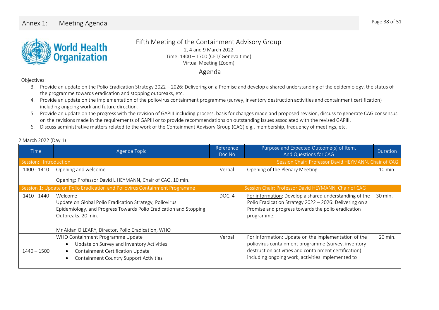

# Fifth Meeting of the Containment Advisory Group 2, 4 and 9 March 2022 Time: 1400 – 1700 (CET/ Geneva time) Virtual Meeting (Zoom)

Agenda

Objectives:

- 3. Provide an update on the Polio Eradication Strategy 2022 2026: Delivering on a Promise and develop a shared understanding of the epidemiology, the status of the programme towards eradication and stopping outbreaks, etc.
- 4. Provide an update on the implementation of the poliovirus containment programme (survey, inventory destruction activities and containment certification) including ongoing work and future direction.
- 5. Provide an update on the progress with the revision of GAPIII including process, basis for changes made and proposed revision, discuss to generate CAG consensus on the revisions made in the requirements of GAPIII or to provide recommendations on outstanding issues associated with the revised GAPIII.
- 6. Discuss administrative matters related to the work of the Containment Advisory Group (CAG) e.g., membership, frequency of meetings, etc.

|  | 2 March 2022 (Day 1) |  |
|--|----------------------|--|
|  |                      |  |

| <b>Time</b>           | Agenda Topic                                                                                                                                                                                                        | Reference<br>Doc No | Purpose and Expected Outcome(s) of Item,<br>And Questions for CAG                                                                                                                                                         | Duration  |
|-----------------------|---------------------------------------------------------------------------------------------------------------------------------------------------------------------------------------------------------------------|---------------------|---------------------------------------------------------------------------------------------------------------------------------------------------------------------------------------------------------------------------|-----------|
| Session: Introduction |                                                                                                                                                                                                                     |                     | Session Chair: Professor David HEYMANN, Chair of CAG                                                                                                                                                                      |           |
| 1400 - 1410           | Opening and welcome                                                                                                                                                                                                 | Verbal              | Opening of the Plenary Meeting.                                                                                                                                                                                           | $10$ min. |
|                       | Opening: Professor David L HEYMANN, Chair of CAG. 10 min.                                                                                                                                                           |                     |                                                                                                                                                                                                                           |           |
|                       | Session 1: Update on Polio Eradication and Poliovirus Containment Programme                                                                                                                                         |                     | Session Chair: Professor David HEYMANN, Chair of CAG                                                                                                                                                                      |           |
| 1410 - 1440           | Welcome<br>Update on Global Polio Eradication Strategy, Poliovirus<br>Epidemiology, and Progress Towards Polio Eradication and Stopping<br>Outbreaks, 20 min.<br>Mr Aidan O'LEARY, Director, Polio Eradication, WHO | DOC. 4              | For information: Develop a shared understanding of the<br>Polio Eradication Strategy 2022 - 2026: Delivering on a<br>Promise and progress towards the polio eradication<br>programme.                                     | 30 min.   |
| $1440 - 1500$         | WHO Containment Programme Update<br>Update on Survey and Inventory Activities<br>$\bullet$<br>Containment Certification Update<br>$\bullet$<br>Containment Country Support Activities<br>$\bullet$                  | Verbal              | For information: Update on the implementation of the<br>poliovirus containment programme (survey, inventory<br>destruction activities and containment certification)<br>including ongoing work, activities implemented to | 20 min.   |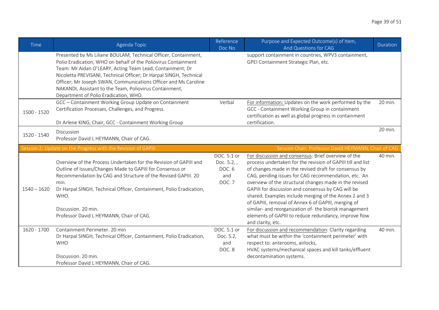| Time          | Agenda Topic                                                                                                                                                                                                                                                                                                                                                                                                                                | Reference<br>Doc No                                 | Purpose and Expected Outcome(s) of Item,<br>And Questions for CAG                                                                                                                                                                                                                                                                                                                                                                                                                                                                                                                                          | Duration |
|---------------|---------------------------------------------------------------------------------------------------------------------------------------------------------------------------------------------------------------------------------------------------------------------------------------------------------------------------------------------------------------------------------------------------------------------------------------------|-----------------------------------------------------|------------------------------------------------------------------------------------------------------------------------------------------------------------------------------------------------------------------------------------------------------------------------------------------------------------------------------------------------------------------------------------------------------------------------------------------------------------------------------------------------------------------------------------------------------------------------------------------------------------|----------|
|               | Presented by Ms Liliane BOULAM, Technical Officer, Containment,<br>Polio Eradication, WHO on behalf of the Poliovirus Containment<br>Team: Mr Aidan O'LEARY, Acting Team Lead, Containment; Dr<br>Nicoletta PREVISANI, Technical Officer; Dr Harpal SINGH, Technical<br>Officer; Mr Joseph SWAN, Communications Officer and Ms Caroline<br>NAKANDI, Assistant to the Team, Poliovirus Containment,<br>Department of Polio Eradication, WHO. |                                                     | support containment in countries, WPV3 containment,<br>GPEI Containment Strategic Plan, etc.                                                                                                                                                                                                                                                                                                                                                                                                                                                                                                               |          |
| 1500 - 1520   | GCC - Containment Working Group Update on Containment<br>Certification Processes, Challenges, and Progress.<br>Dr Arlene KING, Chair, GCC - Containment Working Group                                                                                                                                                                                                                                                                       | Verbal                                              | For information: Updates on the work performed by the<br>GCC - Containment Working Group in containment<br>certification as well as global progress in containment<br>certification.                                                                                                                                                                                                                                                                                                                                                                                                                       | 20 min.  |
| 1520 - 1540   | Discussion<br>Professor David L HEYMANN, Chair of CAG.                                                                                                                                                                                                                                                                                                                                                                                      |                                                     |                                                                                                                                                                                                                                                                                                                                                                                                                                                                                                                                                                                                            | 20 min.  |
|               | Session 2: Update on the Progress with the Revision of GAPIII                                                                                                                                                                                                                                                                                                                                                                               |                                                     | Session Chair: Professor David HEYMANN, Chair of CAG                                                                                                                                                                                                                                                                                                                                                                                                                                                                                                                                                       |          |
| $1540 - 1620$ | Overview of the Process Undertaken for the Revision of GAPIII and<br>Outline of Issues/Changes Made to GAPIII for Consensus or<br>Recommendation by CAG and Structure of the Revised GAPIII. 20<br>min.<br>Dr Harpal SINGH, Technical Officer, Containment, Polio Eradication,<br>WHO.<br>Discussion, 20 min.<br>Professor David L HEYMANN, Chair of CAG.                                                                                   | DOC. 5.1 or<br>Doc. 5.2,<br>DOC. 6<br>and<br>DOC. 7 | For discussion and consensus: Brief overview of the<br>process undertaken for the revision of GAPIII till and list<br>of changes made in the revised draft for consensus by<br>CAG, pending issues for CAG recommendation, etc. An<br>overview of the structural changes made in the revised<br>GAPIII for discussion and consensus by CAG will be<br>shared. Examples include merging of the Annex 2 and 3<br>of GAPIII, removal of Annex 6 of GAPIII, merging of<br>similar- and reorganization of- the biorisk management<br>elements of GAPIII to reduce redundancy, improve flow<br>and clarity, etc. | 40 min.  |
| 1620 - 1700   | Containment Perimeter. 20 min<br>Dr Harpal SINGH, Technical Officer, Containment, Polio Eradication,<br><b>WHO</b><br>Discussion, 20 min.<br>Professor David L HEYMANN, Chair of CAG.                                                                                                                                                                                                                                                       | DOC. 5.1 or<br>Doc. 5.2,<br>and<br>DOC. 8           | For discussion and recommendation: Clarity regarding<br>what must be within the 'containment perimeter' with<br>respect to: anterooms, airlocks,<br>HVAC systems/mechanical spaces and kill tanks/effluent<br>decontamination systems.                                                                                                                                                                                                                                                                                                                                                                     | 40 min.  |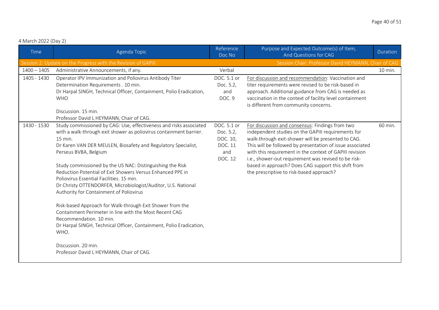# 4 March 2022 (Day 2)

| Time          | Agenda Topic                                                        | Reference   | Purpose and Expected Outcome(s) of Item,                  | Duration |
|---------------|---------------------------------------------------------------------|-------------|-----------------------------------------------------------|----------|
|               |                                                                     | Doc No      | And Questions for CAG                                     |          |
|               | Session 2: Update on the Progress with the Revision of GAPIII       |             | Session Chair: Professor David HEYMANN, Chair of CAG      |          |
| $1400 - 1405$ | Administrative Announcements, if any.                               | Verbal      |                                                           | 10 min.  |
| 1405 - 1430   | Operator IPV Immunization and Poliovirus Antibody Titer             | DOC. 5.1 or | For discussion and recommendation: Vaccination and        |          |
|               | Determination Requirements . 10 min.                                | Doc. 5.2,   | titer requirements were revised to be risk-based in       |          |
|               | Dr Harpal SINGH, Technical Officer, Containment, Polio Eradication, | and         | approach. Additional guidance from CAG is needed as       |          |
|               | <b>WHO</b>                                                          | DOC. 9      | vaccination in the context of facility level containment  |          |
|               |                                                                     |             | is different from community concerns.                     |          |
|               | Discussion, 15 min.                                                 |             |                                                           |          |
|               | Professor David L HEYMANN, Chair of CAG.                            |             |                                                           |          |
| 1430 - 1530   | Study commissioned by CAG: Use, effectiveness and risks associated  | DOC. 5.1 or | For discussion and consensus: Findings from two           | 60 min.  |
|               | with a walk-through exit shower as poliovirus containment barrier.  | Doc. 5.2,   | independent studies on the GAPIII requirements for        |          |
|               | 15 min.                                                             | DOC. 10,    | walk-through exit-shower will be presented to CAG.        |          |
|               | Dr Karen VAN DER MEULEN, Biosafety and Regulatory Specialist,       | DOC. 11     | This will be followed by presentation of issue associated |          |
|               | Perseus BVBA, Belgium                                               | and         | with this requirement in the context of GAPIII revision   |          |
|               |                                                                     | DOC. 12     | i.e., shower-out requirement was revised to be risk-      |          |
|               | Study commissioned by the US NAC: Distinguishing the Risk           |             | based in approach? Does CAG support this shift from       |          |
|               | Reduction Potential of Exit Showers Versus Enhanced PPE in          |             | the prescriptive to risk-based approach?                  |          |
|               | Poliovirus Essential Facilities. 15 min.                            |             |                                                           |          |
|               | Dr Christy OTTENDORFER, Microbiologist/Auditor, U.S. National       |             |                                                           |          |
|               | Authority for Containment of Poliovirus                             |             |                                                           |          |
|               | Risk-based Approach for Walk-through Exit Shower from the           |             |                                                           |          |
|               | Containment Perimeter in line with the Most Recent CAG              |             |                                                           |          |
|               | Recommendation, 10 min.                                             |             |                                                           |          |
|               | Dr Harpal SINGH, Technical Officer, Containment, Polio Eradication, |             |                                                           |          |
|               | WHO.                                                                |             |                                                           |          |
|               |                                                                     |             |                                                           |          |
|               | Discussion. 20 min.                                                 |             |                                                           |          |
|               | Professor David L HEYMANN, Chair of CAG.                            |             |                                                           |          |
|               |                                                                     |             |                                                           |          |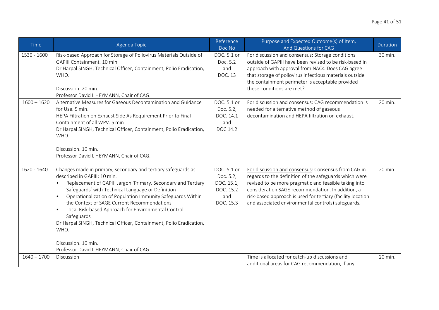| Time          | Agenda Topic                                                                                                                                                                                                                                                                                                                                                                                                                                                                                                                                                                                    | <b>Reference</b><br>Doc No                                              | Purpose and Expected Outcome(s) of Item,<br>And Questions for CAG                                                                                                                                                                                                                                                                                | Duration |
|---------------|-------------------------------------------------------------------------------------------------------------------------------------------------------------------------------------------------------------------------------------------------------------------------------------------------------------------------------------------------------------------------------------------------------------------------------------------------------------------------------------------------------------------------------------------------------------------------------------------------|-------------------------------------------------------------------------|--------------------------------------------------------------------------------------------------------------------------------------------------------------------------------------------------------------------------------------------------------------------------------------------------------------------------------------------------|----------|
| 1530 - 1600   | Risk-based Approach for Storage of Poliovirus Materials Outside of<br>GAPIII Containment. 10 min.<br>Dr Harpal SINGH, Technical Officer, Containment, Polio Eradication,<br>WHO.<br>Discussion. 20 min.<br>Professor David L HEYMANN, Chair of CAG.                                                                                                                                                                                                                                                                                                                                             | DOC. 5.1 or<br>Doc. 5.2<br>and<br>DOC. 13                               | For discussion and consensus: Storage conditions<br>outside of GAPIII have been revised to be risk-based in<br>approach with approval from NACs. Does CAG agree<br>that storage of poliovirus infectious materials outside<br>the containment perimeter is acceptable provided<br>these conditions are met?                                      | 30 min.  |
| $1600 - 1620$ | Alternative Measures for Gaseous Decontamination and Guidance<br>for Use. 5 min.<br>HEPA Filtration on Exhaust Side As Requirement Prior to Final<br>Containment of all WPV. 5 min<br>Dr Harpal SINGH, Technical Officer, Containment, Polio Eradication,<br>WHO.<br>Discussion, 10 min.<br>Professor David L HEYMANN, Chair of CAG.                                                                                                                                                                                                                                                            | DOC. 5.1 or<br>Doc. 5.2,<br>DOC. 14.1<br>and<br>DOC 14.2                | For discussion and consensus: CAG recommendation is<br>needed for alternative method of gaseous<br>decontamination and HEPA filtration on exhaust.                                                                                                                                                                                               | 20 min.  |
| 1620 - 1640   | Changes made in primary, secondary and tertiary safeguards as<br>described in GAPIII: 10 min.<br>Replacement of GAPIII Jargon 'Primary, Secondary and Tertiary<br>$\bullet$<br>Safeguards' with Technical Language or Definition<br>Operationalization of Population Immunity Safeguards Within<br>$\bullet$<br>the Context of SAGE Current Recommendations<br>Local Risk-based Approach for Environmental Control<br>$\bullet$<br>Safeguards<br>Dr Harpal SINGH, Technical Officer, Containment, Polio Eradication,<br>WHO.<br>Discussion. 10 min.<br>Professor David L HEYMANN, Chair of CAG. | DOC. 5.1 or<br>Doc. 5.2,<br>DOC. 15.1,<br>DOC. 15.2<br>and<br>DOC. 15.3 | For discussion and consensus: Consensus from CAG in<br>regards to the definition of the safeguards which were<br>revised to be more pragmatic and feasible taking into<br>consideration SAGE recommendation. In addition, a<br>risk-based approach is used for tertiary (facility location<br>and associated environmental controls) safeguards. | 20 min.  |
| $1640 - 1700$ | Discussion                                                                                                                                                                                                                                                                                                                                                                                                                                                                                                                                                                                      |                                                                         | Time is allocated for catch-up discussions and<br>additional areas for CAG recommendation, if any.                                                                                                                                                                                                                                               | 20 min.  |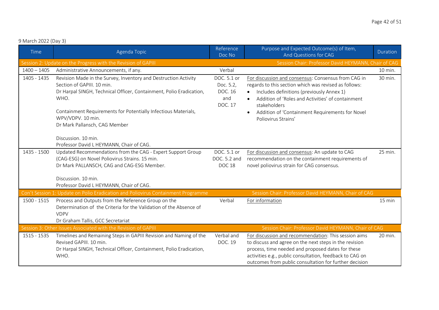# 9 March 2022 (Day 3)

| Time          | Agenda Topic                                                                                                                                                                                                                                                                                                                                                            | Reference<br>Doc No                                   | Purpose and Expected Outcome(s) of Item,<br>And Questions for CAG                                                                                                                                                                                                                                        | Duration |
|---------------|-------------------------------------------------------------------------------------------------------------------------------------------------------------------------------------------------------------------------------------------------------------------------------------------------------------------------------------------------------------------------|-------------------------------------------------------|----------------------------------------------------------------------------------------------------------------------------------------------------------------------------------------------------------------------------------------------------------------------------------------------------------|----------|
|               | Session 2: Update on the Progress with the Revision of GAPIII                                                                                                                                                                                                                                                                                                           |                                                       | Session Chair: Professor David HEYMANN, Chair of CAG                                                                                                                                                                                                                                                     |          |
| $1400 - 1405$ | Administrative Announcements, if any.                                                                                                                                                                                                                                                                                                                                   | Verbal                                                |                                                                                                                                                                                                                                                                                                          | 10 min.  |
| 1405 - 1435   | Revision Made in the Survey, Inventory and Destruction Activity<br>Section of GAPIII. 10 min.<br>Dr Harpal SINGH, Technical Officer, Containment, Polio Eradication,<br>WHO.<br>Containment Requirements for Potentially Infectious Materials,<br>WPV/VDPV. 10 min.<br>Dr Mark Pallansch, CAG Member<br>Discussion, 10 min.<br>Professor David L HEYMANN, Chair of CAG. | DOC. 5.1 or<br>Doc. 5.2,<br>DOC. 16<br>and<br>DOC. 17 | For discussion and consensus: Consensus from CAG in<br>regards to this section which was revised as follows:<br>Includes definitions (previously Annex 1)<br>Addition of 'Roles and Activities' of containment<br>stakeholders<br>Addition of 'Containment Requirements for Novel<br>Poliovirus Strains' | 30 min.  |
| 1435 - 1500   | Updated Recommendations from the CAG - Expert Support Group<br>(CAG-ESG) on Novel Poliovirus Strains. 15 min.<br>Dr Mark PALLANSCH, CAG and CAG-ESG Member.<br>Discussion. 10 min.<br>Professor David L HEYMANN, Chair of CAG.                                                                                                                                          | DOC. 5.1 or<br>DOC. 5.2 and<br><b>DOC 18</b>          | For discussion and consensus: An update to CAG<br>recommendation on the containment requirements of<br>novel poliovirus strain for CAG consensus.                                                                                                                                                        | 25 min.  |
|               | Con't Session 1: Update on Polio Eradication and Poliovirus Containment Programme                                                                                                                                                                                                                                                                                       |                                                       | Session Chair: Professor David HEYMANN, Chair of CAG                                                                                                                                                                                                                                                     |          |
| 1500 - 1515   | Process and Outputs from the Reference Group on the<br>Determination of the Criteria for the Validation of the Absence of<br><b>VDPV</b><br>Dr Graham Tallis, GCC Secretariat                                                                                                                                                                                           | Verbal                                                | For information                                                                                                                                                                                                                                                                                          | 15 min   |
|               | Session 3: Other Issues Associated with the Revision of GAPIII                                                                                                                                                                                                                                                                                                          |                                                       | Session Chair: Professor David HEYMANN, Chair of CAG                                                                                                                                                                                                                                                     |          |
| 1515 - 1535   | Timelines and Remaining Steps in GAPIII Revision and Naming of the<br>Revised GAPIII. 10 min.<br>Dr Harpal SINGH, Technical Officer, Containment, Polio Eradication,<br>WHO.                                                                                                                                                                                            | Verbal and<br>DOC. 19                                 | For discussion and recommendation: This session aims<br>to discuss and agree on the next steps in the revision<br>process, time needed and proposed dates for these<br>activities e.g., public consultation, feedback to CAG on<br>outcomes from public consultation for further decision                | 20 min.  |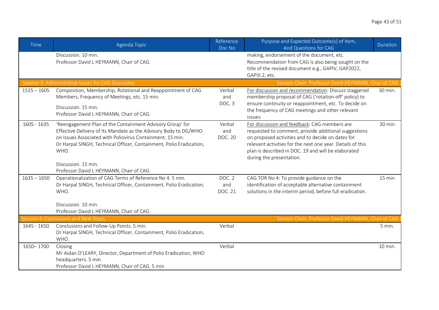| <b>Time</b>   | Agenda Topic                                                                                                                                                                                                                                                              | Reference<br>Doc No             | Purpose and Expected Outcome(s) of Item,<br>And Questions for CAG                                                                                                                                                                                                                                          | Duration |
|---------------|---------------------------------------------------------------------------------------------------------------------------------------------------------------------------------------------------------------------------------------------------------------------------|---------------------------------|------------------------------------------------------------------------------------------------------------------------------------------------------------------------------------------------------------------------------------------------------------------------------------------------------------|----------|
|               | Discussion. 10 min.<br>Professor David L HEYMANN, Chair of CAG.                                                                                                                                                                                                           |                                 | making, endorsement of the document, etc.<br>Recommendation from CAG is also being sought on the<br>title of the revised document e.g., GAPIV, GAP2022,<br>GAPIII.2, etc.                                                                                                                                  |          |
|               | Session 3: Administrative Issues for CAG Discussion                                                                                                                                                                                                                       |                                 | Session Chair: Professor David HEYMANN, Chair of CAG                                                                                                                                                                                                                                                       |          |
| $1535 - 1605$ | Composition, Membership, Rotational and Reappointment of CAG<br>Members, Frequency of Meetings, etc. 15 min.<br>Discussion. 15 min.<br>Professor David L HEYMANN, Chair of CAG.                                                                                           | Verbal<br>and<br>DOC. 3         | For discussion and recommendation: Discuss staggered<br>membership proposal of CAG ('rotation-off' policy) to<br>ensure continuity or reappointment, etc. To decide on<br>the frequency of CAG meetings and other relevant<br>issues.                                                                      | 30 min.  |
| 1605 - 1635   | 'Reengagement Plan of the Containment Advisory Group' for<br>Effective Delivery of Its Mandate as the Advisory Body to DG/WHO<br>on Issues Associated with Poliovirus Containment. 15 min.<br>Dr Harpal SINGH, Technical Officer, Containment, Polio Eradication,<br>WHO. | Verbal<br>and<br><b>DOC. 20</b> | For discussion and feedback: CAG members are<br>requested to comment, provide additional suggestions<br>on proposed activities and to decide on dates for<br>relevant activities for the next one year. Details of this<br>plan is described in DOC. 19 and will be elaborated<br>during the presentation. | 30 min   |
|               | Discussion. 15 min.<br>Professor David L HEYMANN, Chair of CAG.                                                                                                                                                                                                           |                                 |                                                                                                                                                                                                                                                                                                            |          |
| $1635 - 1650$ | Operationalization of CAG Terms of Reference No 4. 5 min.<br>Dr Harpal SINGH, Technical Officer, Containment, Polio Eradication,<br>WHO.                                                                                                                                  | DOC. 2<br>and<br>DOC. 21        | CAG TOR No 4: To provide guidance on the<br>identification of acceptable alternative containment<br>solutions in the interim period, before full eradication.                                                                                                                                              | 15 min   |
|               | Discussion. 10 min.<br>Professor David L HEYMANN, Chair of CAG.                                                                                                                                                                                                           |                                 |                                                                                                                                                                                                                                                                                                            |          |
|               | Session 4: Conclusions and Next Steps                                                                                                                                                                                                                                     |                                 | Session Chair: Professor David HEYMANN, Chair of CAG                                                                                                                                                                                                                                                       |          |
| 1645 - 1650   | Conclusions and Follow-Up Points. 5 min.<br>Dr Harpal SINGH, Technical Officer, Containment, Polio Eradication,<br>WHO.                                                                                                                                                   | Verbal                          |                                                                                                                                                                                                                                                                                                            | 5 min.   |
| 1650-1700     | Closing<br>Mr Aidan O'LEARY, Director, Department of Polio Eradication, WHO<br>headquarters. 5 min<br>Professor David L HEYMANN, Chair of CAG. 5 min                                                                                                                      | Verbal                          |                                                                                                                                                                                                                                                                                                            | 10 min.  |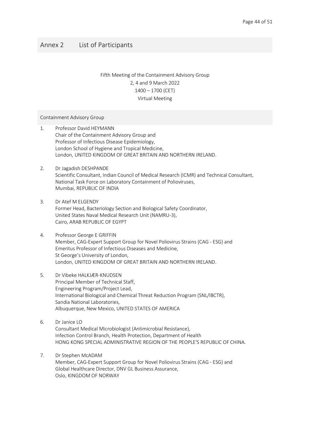# Annex 2 List of Participants

# Fifth Meeting of the Containment Advisory Group 2, 4 and 9 March 2022 1400 – 1700 (CET) Virtual Meeting

#### Containment Advisory Group

- 1. Professor David HEYMANN Chair of the Containment Advisory Group and Professor of Infectious Disease Epidemiology, London School of Hygiene and Tropical Medicine, London, UNITED KINGDOM OF GREAT BRITAIN AND NORTHERN IRELAND.
- 2. Dr Jagadish DESHPANDE Scientific Consultant, Indian Council of Medical Research (ICMR) and Technical Consultant, National Task Force on Laboratory Containment of Polioviruses, Mumbai, REPUBLIC OF INDIA
- 3. Dr Atef M ELGENDY Former Head, Bacteriology Section and Biological Safety Coordinator, United States Naval Medical Research Unit (NAMRU-3), Cairo, ARAB REPUBLIC OF EGYPT
- 4. Professor George E GRIFFIN Member, CAG-Expert Support Group for Novel Poliovirus Strains (CAG - ESG) and Emeritus Professor of Infectious Diseases and Medicine, St George's University of London, London, UNITED KINGDOM OF GREAT BRITAIN AND NORTHERN IRELAND.
- 5. Dr Vibeke HALKJÆR-KNUDSEN Principal Member of Technical Staff, Engineering Program/Project Lead, International Biological and Chemical Threat Reduction Program (SNL/IBCTR), Sandia National Laboratories, Albuquerque, New Mexico, UNITED STATES OF AMERICA
- 6. Dr Janice LO Consultant Medical Microbiologist (Antimicrobial Resistance), Infection Control Branch, Health Protection, Department of Health HONG KONG SPECIAL ADMINISTRATIVE REGION OF THE PEOPLE'S REPUBLIC OF CHINA.
- 7. Dr Stephen McADAM Member, CAG-Expert Support Group for Novel Poliovirus Strains (CAG - ESG) and Global Healthcare Director, DNV GL Business Assurance, Oslo, KINGDOM OF NORWAY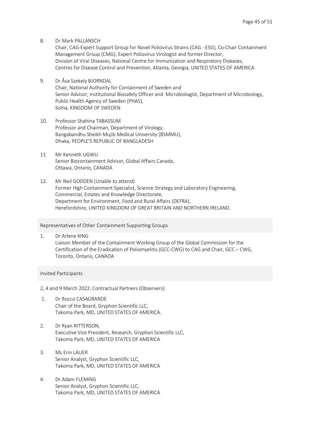- 8. Dr Mark PALLANSCH Chair, CAG-Expert Support Group for Novel Poliovirus Strains (CAG - ESG), Co-Chair Containment Management Group (CMG), Expert Poliovirus Virologist and former Director, Division of Viral Diseases, National Centre for Immunization and Respiratory Diseases, Centres for Disease Control and Prevention, Atlanta, Georgia, UNITED STATES OF AMERICA
- 9. Dr Åsa Szekely BJORNDAL Chair, National Authority for Containment of Sweden and Senior Advisor, Institutional Biosafety Officer and Microbiologist, Department of Microbiology, Public Health Agency of Sweden (PHAS), Solna, KINGDOM OF SWEDEN
- 10. Professor Shahina TABASSUM Professor and Chairman, Department of Virology, Bangabandhu Sheikh Mujib Medical University (BSMMU), Dhaka, PEOPLE'S REPUBLIC OF BANGLADESH
- 11. Mr Kenneth UGWU Senior Biocontainment Advisor, Global Affairs Canada, Ottawa, Ontario, CANADA
- 12. Mr Neil GODDEN (Unable to attend) Former High Containment Specialist, Science Strategy and Laboratory Engineering, Commercial, Estates and Knowledge Directorate, Department for Environment, Food and Rural Affairs (DEFRA), Herefordshire, UNITED KINGDOM OF GREAT BRITAIN AND NORTHERN IRELAND.

Representatives of Other Containment Supporting Groups

1. Dr Arlene KING Liaison Member of the Containment Working Group of the Global Commission for the Certification of the Eradication of Poliomyelitis (GCC-CWG) to CAG and Chair, GCC – CWG, Toronto, Ontario, CANADA

## Invited Participants

2, 4 and 9 March 2022: Contractual Partners (Observers)

- 1. Dr Rocco CASAGRANDE Chair of the Board, Gryphon Scientific LLC, Takoma Park, MD, UNITED STATES OF AMERICA.
- 2. Dr Ryan RITTERSON, Executive Vice President, Research, Gryphon Scientific LLC, Takoma Park, MD, UNITED STATES OF AMERICA
- 3. Ms Erin LAUER Senior Analyst, Gryphon Scientific LLC, Takoma Park, MD, UNITED STATES OF AMERICA
- 4. Dr Adam FLEMING Senior Analyst, Gryphon Scientific LLC, Takoma Park, MD, UNITED STATES OF AMERICA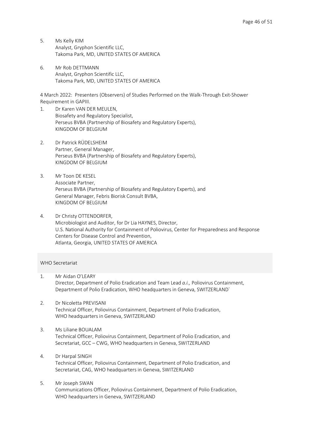- 5. Ms Kelly KIM Analyst, Gryphon Scientific LLC, Takoma Park, MD, UNITED STATES OF AMERICA
- 6. Mr Rob DETTMANN Analyst, Gryphon Scientific LLC, Takoma Park, MD, UNITED STATES OF AMERICA

4 March 2022: Presenters (Observers) of Studies Performed on the Walk-Through Exit-Shower Requirement in GAPIII.

- 1. Dr Karen VAN DER MEULEN, Biosafety and Regulatory Specialist, Perseus BVBA (Partnership of Biosafety and Regulatory Experts), KINGDOM OF BELGIUM
- 2. Dr Patrick RÜDELSHEIM Partner, General Manager, Perseus BVBA (Partnership of Biosafety and Regulatory Experts), KINGDOM OF BELGIUM
- 3. Mr Toon DE KESEL Associate Partner, Perseus BVBA (Partnership of Biosafety and Regulatory Experts), and General Manager, Febris Biorisk Consult BVBA, KINGDOM OF BELGIUM
- 4. Dr Christy OTTENDORFER, Microbiologist and Auditor, for Dr Lia HAYNES, Director, U.S. National Authority for Containment of Poliovirus, Center for Preparedness and Response Centers for Disease Control and Prevention, Atlanta, Georgia, UNITED STATES OF AMERICA

## WHO Secretariat

- 1. Mr Aidan O'LEARY Director, Department of Polio Eradication and Team Lead *a.i.,* Poliovirus Containment, Department of Polio Eradication, WHO headquarters in Geneva, SWITZERLAND`
- 2. Dr Nicoletta PREVISANI Technical Officer, Poliovirus Containment, Department of Polio Eradication, WHO headquarters in Geneva, SWITZERLAND
- 3. Ms Liliane BOUALAM Technical Officer, Poliovirus Containment, Department of Polio Eradication, and Secretariat, GCC – CWG, WHO headquarters in Geneva, SWITZERLAND
- 4. Dr Harpal SINGH Technical Officer, Poliovirus Containment, Department of Polio Eradication, and Secretariat, CAG, WHO headquarters in Geneva, SWITZERLAND
- 5. Mr Joseph SWAN Communications Officer, Poliovirus Containment, Department of Polio Eradication, WHO headquarters in Geneva, SWITZERLAND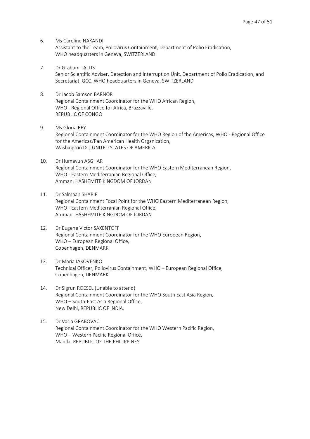- 6. Ms Caroline NAKANDI Assistant to the Team, Poliovirus Containment, Department of Polio Eradication, WHO headquarters in Geneva, SWITZERLAND
- 7. Dr Graham TALLIS Senior Scientific Adviser, Detection and Interruption Unit, Department of Polio Eradication, and Secretariat, GCC, WHO headquarters in Geneva, SWITZERLAND
- 8. Dr Jacob Samson BARNOR Regional Containment Coordinator for the WHO African Region, WHO - Regional Office for Africa, Brazzaville, REPUBLIC OF CONGO
- 9. Ms Gloria REY Regional Containment Coordinator for the WHO Region of the Americas, WHO - Regional Office for the Americas/Pan American Health Organization, Washington DC, UNITED STATES OF AMERICA
- 10. Dr Humayun ASGHAR Regional Containment Coordinator for the WHO Eastern Mediterranean Region, WHO - Eastern Mediterranian Regional Office, Amman, HASHEMITE KINGDOM OF JORDAN
- 11. Dr Salmaan SHARIF Regional Containment Focal Point for the WHO Eastern Mediterranean Region, WHO - Eastern Mediterranian Regional Office, Amman, HASHEMITE KINGDOM OF JORDAN
- 12. Dr Eugene Victor SAXENTOFF Regional Containment Coordinator for the WHO European Region, WHO – European Regional Office, Copenhagen, DENMARK
- 13. Dr Maria IAKOVENKO Technical Officer, Poliovirus Containment, WHO – European Regional Office, Copenhagen, DENMARK
- 14. Dr Sigrun ROESEL (Unable to attend) Regional Containment Coordinator for the WHO South East Asia Region, WHO – South-East Asia Regional Office, New Delhi, REPUBLIC OF INDIA.
- 15. Dr Varja GRABOVAC Regional Containment Coordinator for the WHO Western Pacific Region, WHO – Western Pacific Regional Office, Manila, REPUBLIC OF THE PHILIPPINES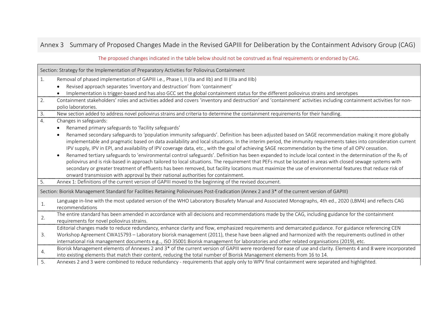# Annex 3 Summary of Proposed Changes Made in the Revised GAPIII for Deliberation by the Containment Advisory Group (CAG)

|    | The proposed changes indicated in the table below should not be construed as final requirements or endorsed by CAG.                                                                                                                                                                                                                                                                                                                                                                                                                                                                                                                                                                                                                                                                                                                                                                                                                                                                                                                                                                                                                           |
|----|-----------------------------------------------------------------------------------------------------------------------------------------------------------------------------------------------------------------------------------------------------------------------------------------------------------------------------------------------------------------------------------------------------------------------------------------------------------------------------------------------------------------------------------------------------------------------------------------------------------------------------------------------------------------------------------------------------------------------------------------------------------------------------------------------------------------------------------------------------------------------------------------------------------------------------------------------------------------------------------------------------------------------------------------------------------------------------------------------------------------------------------------------|
|    | Section: Strategy for the Implementation of Preparatory Activities for Poliovirus Containment                                                                                                                                                                                                                                                                                                                                                                                                                                                                                                                                                                                                                                                                                                                                                                                                                                                                                                                                                                                                                                                 |
| 1. | Removal of phased implementation of GAPIII i.e., Phase I, II (IIa and IIb) and III (IIIa and IIIb)<br>Revised approach separates 'inventory and destruction' from 'containment'<br>Implementation is trigger-based and has also GCC set the global containment status for the different poliovirus strains and serotypes                                                                                                                                                                                                                                                                                                                                                                                                                                                                                                                                                                                                                                                                                                                                                                                                                      |
| 2. | Containment stakeholders' roles and activities added and covers 'inventory and destruction' and 'containment' activities including containment activities for non-<br>polio laboratories.                                                                                                                                                                                                                                                                                                                                                                                                                                                                                                                                                                                                                                                                                                                                                                                                                                                                                                                                                     |
| 3. | New section added to address novel poliovirus strains and criteria to determine the containment requirements for their handling.                                                                                                                                                                                                                                                                                                                                                                                                                                                                                                                                                                                                                                                                                                                                                                                                                                                                                                                                                                                                              |
| 4. | Changes in safeguards:<br>Renamed primary safeguards to 'facility safeguards'<br>Renamed secondary safeguards to 'population immunity safeguards'. Definition has been adjusted based on SAGE recommendation making it more globally<br>implementable and pragmatic based on data availability and local situations. In the interim period, the immunity requirements takes into consideration current<br>IPV supply, IPV in EPI, and availability of IPV coverage data, etc., with the goal of achieving SAGE recommendation by the time of all OPV cessation.<br>Renamed tertiary safeguards to 'environmental control safeguards'. Definition has been expanded to include local context in the determination of the $R_0$ of<br>poliovirus and is risk-based in approach tailored to local situations. The requirement that PEFs must be located in areas with closed sewage systems with<br>secondary or greater treatment of effluents has been removed, but facility locations must maximize the use of environmental features that reduce risk of<br>onward transmission with approval by their national authorities for containment. |
| 5. | Annex 1: Definitions of the current version of GAPIII moved to the beginning of the revised document.                                                                                                                                                                                                                                                                                                                                                                                                                                                                                                                                                                                                                                                                                                                                                                                                                                                                                                                                                                                                                                         |
|    | Section: Biorisk Management Standard for Facilities Retaining Polioviruses Post-Eradication (Annex 2 and 3* of the current version of GAPIII)                                                                                                                                                                                                                                                                                                                                                                                                                                                                                                                                                                                                                                                                                                                                                                                                                                                                                                                                                                                                 |
| 1. | Language in-line with the most updated version of the WHO Laboratory Biosafety Manual and Associated Monographs, 4th ed., 2020 (LBM4) and reflects CAG<br>recommendations                                                                                                                                                                                                                                                                                                                                                                                                                                                                                                                                                                                                                                                                                                                                                                                                                                                                                                                                                                     |
| 2. | The entire standard has been amended in accordance with all decisions and recommendations made by the CAG, including guidance for the containment<br>requirements for novel poliovirus strains.                                                                                                                                                                                                                                                                                                                                                                                                                                                                                                                                                                                                                                                                                                                                                                                                                                                                                                                                               |
| 3. | Editorial changes made to reduce redundancy, enhance clarity and flow, emphasized requirements and demarcated guidance. For guidance referencing CEN<br>Workshop Agreement CWA15793 - Laboratory biorisk management (2011), these have been aligned and harmonized with the requirements outlined in other<br>international risk management documents e.g, ISO 35001:Biorisk management for laboratories and other related organisations (2019), etc.                                                                                                                                                                                                                                                                                                                                                                                                                                                                                                                                                                                                                                                                                         |
| 4. | Biorisk Management elements of Annexes 2 and 3* of the current version of GAPIII were reordered for ease of use and clarity. Elements 4 and 8 were incorporated<br>into existing elements that match their content, reducing the total number of Biorisk Management elements from 16 to 14.                                                                                                                                                                                                                                                                                                                                                                                                                                                                                                                                                                                                                                                                                                                                                                                                                                                   |
| 5. | Annexes 2 and 3 were combined to reduce redundancy - requirements that apply only to WPV final containment were separated and highlighted.                                                                                                                                                                                                                                                                                                                                                                                                                                                                                                                                                                                                                                                                                                                                                                                                                                                                                                                                                                                                    |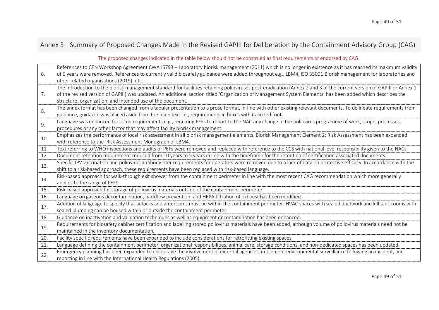# Annex 3 Summary of Proposed Changes Made in the Revised GAPIII for Deliberation by the Containment Advisory Group (CAG)

# The proposed changes indicated in the table below should not be construed as final requirements or endorsed by CAG.

|     | References to CEN Workshop Agreement CWA15793 - Laboratory biorisk management (2011) which is no longer in existence as it has reached its maximum validity           |
|-----|-----------------------------------------------------------------------------------------------------------------------------------------------------------------------|
| 6.  | of 6 years were removed. References to currently valid biosafety guidance were added throughout e.g., LBM4, ISO 35001:Biorisk management for laboratories and         |
|     | other related organisations (2019), etc.                                                                                                                              |
|     | The introduction to the biorisk management standard for facilities retaining polioviruses post-eradication (Annex 2 and 3 of the current version of GAPIII or Annex 1 |
| 7.  | of the revised version of GAPIII) was updated. An additional section titled 'Organization of Management System Elements' has been added which describes the           |
|     | structure, organization, and intended use of the document.                                                                                                            |
| 8.  | The annex format has been changed from a tabular presentation to a prose format, in-line with other existing relevant documents. To delineate requirements from       |
|     | guidance, guidance was placed aside from the main text i.e., requirements in boxes with italicized font.                                                              |
| 9.  | Language was enhanced for some requirements e.g., requiring PEFs to report to the NAC any change in the poliovirus programme of work, scope, processes,               |
|     | procedures or any other factor that may affect facility biorisk management.                                                                                           |
| 10. | Emphasizes the performance of local risk assessment in all biorisk management elements. Biorisk Management Element 2: Risk Assessment has been expanded               |
|     | with reference to the Risk Assessment Monograph of LBM4.                                                                                                              |
| 11. | Text referring to WHO inspections and audits of PEFs were removed and replaced with reference to the CCS with national level responsibility given to the NACs.        |
| 12. | Document retention requirement reduced from 10 years to 5 years in line with the timeframe for the retention of certification associated documents.                   |
| 13. | Specific IPV vaccination and poliovirus antibody titer requirements for operators were removed due to a lack of data on protective efficacy. In accordance with the   |
|     | shift to a risk-based approach, these requirements have been replaced with risk-based language.                                                                       |
| 14. | Risk-based approach for walk-through exit shower from the containment perimeter in line with the most recent CAG recommendation which more generally                  |
|     | applies to the range of PEFS.                                                                                                                                         |
| 15. | Risk-based approach for storage of poliovirus materials outside of the containment perimeter.                                                                         |
| 16. | Language on gaseous decontamination, backflow prevention, and HEPA filtration of exhaust has been modified.                                                           |
| 17. | Addition of language to specify that airlocks and anterooms must be within the containment perimeter. HVAC spaces with sealed ductwork and kill tank rooms with       |
|     | sealed plumbing can be housed within or outside the containment perimeter.                                                                                            |
| 18. | Guidance on inactivation and validation techniques as well as equipment decontamination has been enhanced.                                                            |
|     | Requirements for biosafety cabinet certification and labelling stored poliovirus materials have been added, although volume of poliovirus materials need not be       |
| 19. | maintained in the inventory documentation.                                                                                                                            |
| 20. | Facility specific requirements have been expanded to include considerations for retrofitting existing spaces.                                                         |
| 21. | Language defining the containment perimeter, organizational responsibilities, animal care, storage conditions, and non-dedicated spaces has been updated.             |
|     | Emergency planning has been expanded to encourage the involvement of external agencies, implement environmental surveillance following an incident, and               |
| 22. | reporting in line with the International Health Regulations (2005).                                                                                                   |
|     |                                                                                                                                                                       |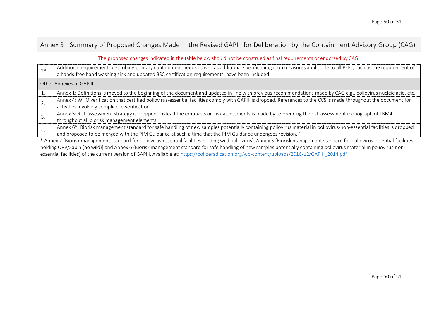# Annex 3 Summary of Proposed Changes Made in the Revised GAPIII for Deliberation by the Containment Advisory Group (CAG)

# The proposed changes indicated in the table below should not be construed as final requirements or endorsed by CAG.

| 23. | Additional requirements describing primary containment needs as well as additional specific mitigation measures applicable to all PEFs, such as the requirement of<br>a hands-free hand washing sink and updated BSC certification requirements, have been included. |
|-----|----------------------------------------------------------------------------------------------------------------------------------------------------------------------------------------------------------------------------------------------------------------------|
|     | Other Annexes of GAPIII                                                                                                                                                                                                                                              |
|     | Annex 1: Definitions is moved to the beginning of the document and updated in line with previous recommendations made by CAG e.g., poliovirus nucleic acid, etc.                                                                                                     |
|     | Annex 4: WHO verification that certified poliovirus-essential facilities comply with GAPIII is dropped. References to the CCS is made throughout the document for                                                                                                    |
|     | activities involving compliance verification.                                                                                                                                                                                                                        |
|     | Annex 5: Risk assessment strategy is dropped. Instead the emphasis on risk assessments is made by referencing the risk assessment monograph of LBM4                                                                                                                  |
|     | throughout all biorisk management elements.                                                                                                                                                                                                                          |
|     | Annex 6*: Biorisk management standard for safe handling of new samples potentially containing poliovirus material in poliovirus-non-essential facilities is dropped                                                                                                  |
|     | and proposed to be merged with the PIM Guidance at such a time that the PIM Guidance undergoes revision.                                                                                                                                                             |
|     |                                                                                                                                                                                                                                                                      |

\* Annex 2 (Biorisk management standard for poliovirus-essential facilities holding wild poliovirus), Annex 3 [Biorisk management standard for poliovirus-essential facilities holding OPV/Sabin (no wild)] and Annex 6 (Biorisk management standard for safe handling of new samples potentially containing poliovirus material in poliovirus-non-essential facilities) of the current version of GAPIII. Available at[: https://polioeradication.org/wp-content/uploads/2016/12/GAPIII\\_2014.pdf](https://polioeradication.org/wp-content/uploads/2016/12/GAPIII_2014.pdf)